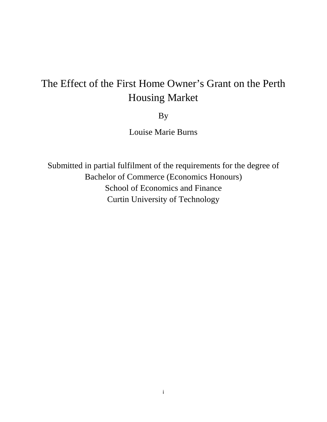# The Effect of the First Home Owner's Grant on the Perth Housing Market

By

Louise Marie Burns

Submitted in partial fulfilment of the requirements for the degree of Bachelor of Commerce (Economics Honours) School of Economics and Finance Curtin University of Technology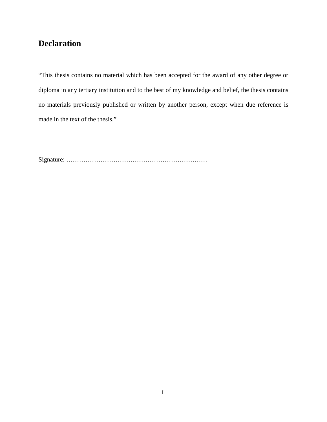## **Declaration**

"This thesis contains no material which has been accepted for the award of any other degree or diploma in any tertiary institution and to the best of my knowledge and belief, the thesis contains no materials previously published or written by another person, except when due reference is made in the text of the thesis."

Signature: …………………………………………………………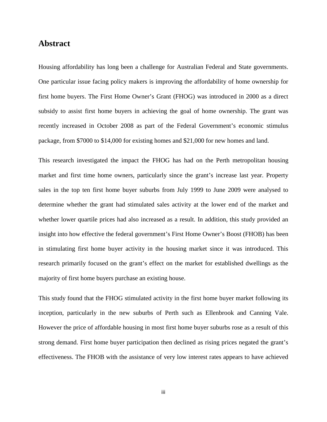## **Abstract**

Housing affordability has long been a challenge for Australian Federal and State governments. One particular issue facing policy makers is improving the affordability of home ownership for first home buyers. The First Home Owner's Grant (FHOG) was introduced in 2000 as a direct subsidy to assist first home buyers in achieving the goal of home ownership. The grant was recently increased in October 2008 as part of the Federal Government's economic stimulus package, from \$7000 to \$14,000 for existing homes and \$21,000 for new homes and land.

This research investigated the impact the FHOG has had on the Perth metropolitan housing market and first time home owners, particularly since the grant's increase last year. Property sales in the top ten first home buyer suburbs from July 1999 to June 2009 were analysed to determine whether the grant had stimulated sales activity at the lower end of the market and whether lower quartile prices had also increased as a result. In addition, this study provided an insight into how effective the federal government's First Home Owner's Boost (FHOB) has been in stimulating first home buyer activity in the housing market since it was introduced. This research primarily focused on the grant's effect on the market for established dwellings as the majority of first home buyers purchase an existing house.

This study found that the FHOG stimulated activity in the first home buyer market following its inception, particularly in the new suburbs of Perth such as Ellenbrook and Canning Vale. However the price of affordable housing in most first home buyer suburbs rose as a result of this strong demand. First home buyer participation then declined as rising prices negated the grant's effectiveness. The FHOB with the assistance of very low interest rates appears to have achieved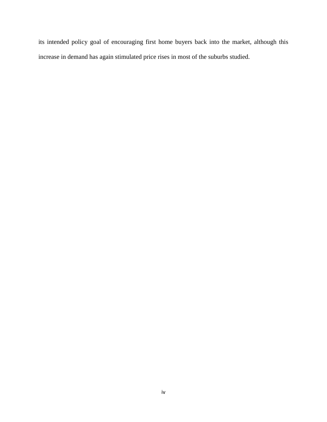its intended policy goal of encouraging first home buyers back into the market, although this increase in demand has again stimulated price rises in most of the suburbs studied.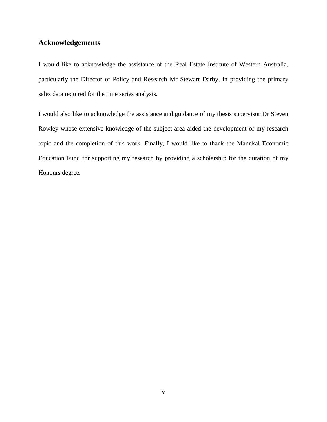### **Acknowledgements**

I would like to acknowledge the assistance of the Real Estate Institute of Western Australia, particularly the Director of Policy and Research Mr Stewart Darby, in providing the primary sales data required for the time series analysis.

I would also like to acknowledge the assistance and guidance of my thesis supervisor Dr Steven Rowley whose extensive knowledge of the subject area aided the development of my research topic and the completion of this work. Finally, I would like to thank the Mannkal Economic Education Fund for supporting my research by providing a scholarship for the duration of my Honours degree.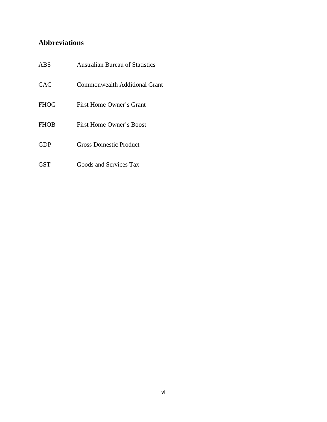## **Abbreviations**

| <b>ABS</b>  | <b>Australian Bureau of Statistics</b> |  |
|-------------|----------------------------------------|--|
| CAG         | <b>Commonwealth Additional Grant</b>   |  |
| <b>FHOG</b> | First Home Owner's Grant               |  |
| <b>FHOB</b> | First Home Owner's Boost               |  |
| <b>GDP</b>  | Gross Domestic Product                 |  |
| <b>GST</b>  | Goods and Services Tax                 |  |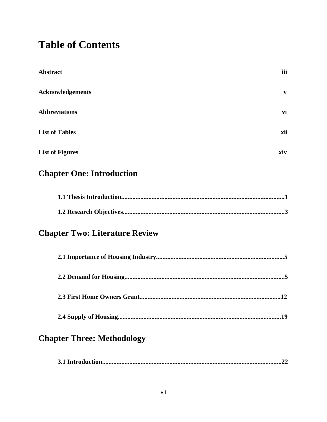## **Table of Contents**

| <b>Abstract</b>                       | iii |
|---------------------------------------|-----|
| <b>Acknowledgements</b>               | V   |
| <b>Abbreviations</b>                  | vi  |
| <b>List of Tables</b>                 | xii |
| <b>List of Figures</b>                | xiv |
| <b>Chapter One: Introduction</b>      |     |
|                                       |     |
|                                       |     |
| <b>Chapter Two: Literature Review</b> |     |
|                                       |     |
|                                       |     |
|                                       |     |
|                                       | .19 |
| <b>Chapter Three: Methodology</b>     |     |
|                                       | .22 |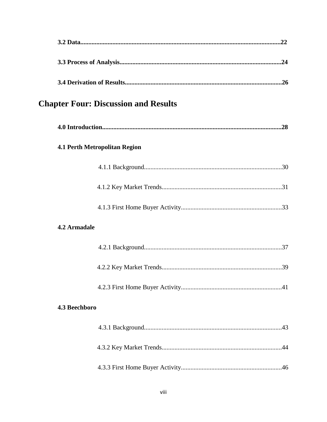|                     | <b>Chapter Four: Discussion and Results</b> |
|---------------------|---------------------------------------------|
|                     |                                             |
|                     | <b>4.1 Perth Metropolitan Region</b>        |
|                     |                                             |
|                     |                                             |
|                     |                                             |
| <b>4.2 Armadale</b> |                                             |
|                     |                                             |
|                     |                                             |
|                     |                                             |
| 4.3 Beechboro       |                                             |
|                     |                                             |
|                     |                                             |
|                     |                                             |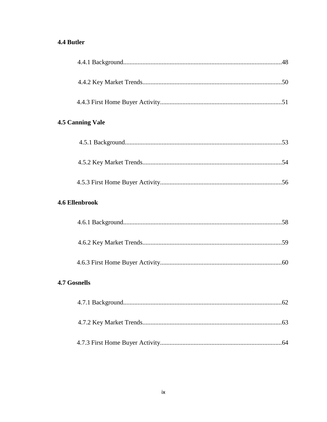## 4.4 Butler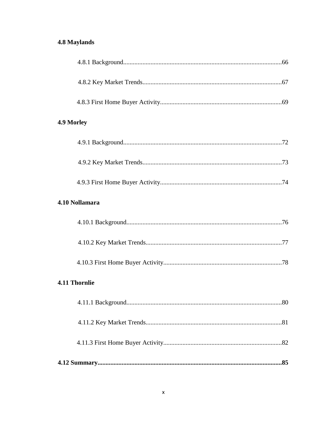## **4.8 Maylands**

| 4.9 Morley           |
|----------------------|
|                      |
|                      |
|                      |
| 4.10 Nollamara       |
|                      |
|                      |
|                      |
| <b>4.11 Thornlie</b> |
|                      |
|                      |
|                      |
|                      |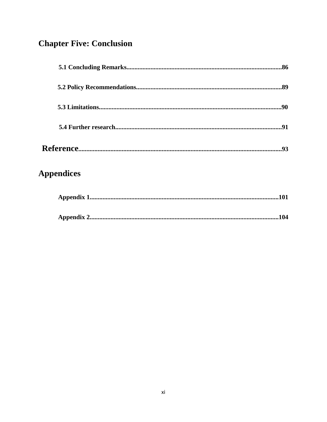## **Chapter Five: Conclusion**

| <b>Appendices</b> |  |
|-------------------|--|
|                   |  |
|                   |  |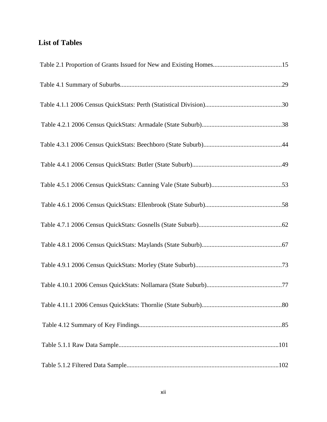## **List of Tables**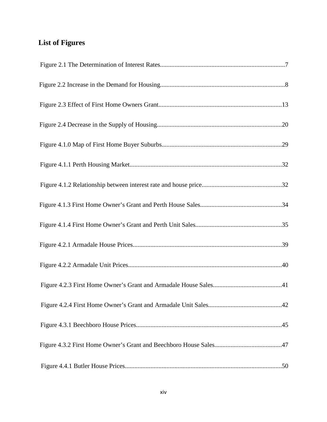## **List of Figures**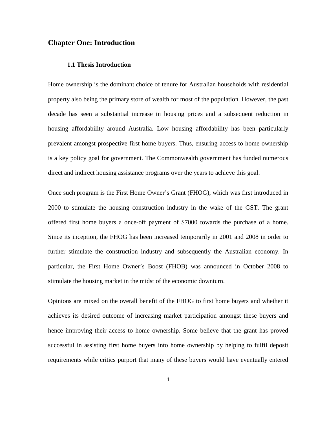#### **Chapter One: Introduction**

#### **1.1 Thesis Introduction**

Home ownership is the dominant choice of tenure for Australian households with residential property also being the primary store of wealth for most of the population. However, the past decade has seen a substantial increase in housing prices and a subsequent reduction in housing affordability around Australia. Low housing affordability has been particularly prevalent amongst prospective first home buyers. Thus, ensuring access to home ownership is a key policy goal for government. The Commonwealth government has funded numerous direct and indirect housing assistance programs over the years to achieve this goal.

Once such program is the First Home Owner's Grant (FHOG), which was first introduced in 2000 to stimulate the housing construction industry in the wake of the GST. The grant offered first home buyers a once-off payment of \$7000 towards the purchase of a home. Since its inception, the FHOG has been increased temporarily in 2001 and 2008 in order to further stimulate the construction industry and subsequently the Australian economy. In particular, the First Home Owner's Boost (FHOB) was announced in October 2008 to stimulate the housing market in the midst of the economic downturn.

Opinions are mixed on the overall benefit of the FHOG to first home buyers and whether it achieves its desired outcome of increasing market participation amongst these buyers and hence improving their access to home ownership. Some believe that the grant has proved successful in assisting first home buyers into home ownership by helping to fulfil deposit requirements while critics purport that many of these buyers would have eventually entered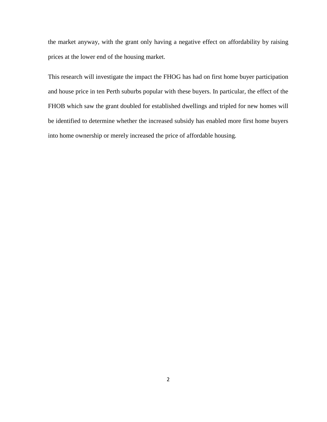the market anyway, with the grant only having a negative effect on affordability by raising prices at the lower end of the housing market.

This research will investigate the impact the FHOG has had on first home buyer participation and house price in ten Perth suburbs popular with these buyers. In particular, the effect of the FHOB which saw the grant doubled for established dwellings and tripled for new homes will be identified to determine whether the increased subsidy has enabled more first home buyers into home ownership or merely increased the price of affordable housing.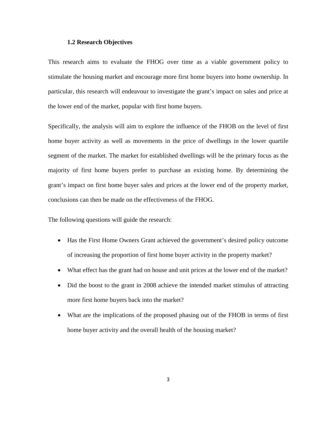#### **1.2 Research Objectives**

This research aims to evaluate the FHOG over time as a viable government policy to stimulate the housing market and encourage more first home buyers into home ownership. In particular, this research will endeavour to investigate the grant's impact on sales and price at the lower end of the market, popular with first home buyers.

Specifically, the analysis will aim to explore the influence of the FHOB on the level of first home buyer activity as well as movements in the price of dwellings in the lower quartile segment of the market. The market for established dwellings will be the primary focus as the majority of first home buyers prefer to purchase an existing home. By determining the grant's impact on first home buyer sales and prices at the lower end of the property market, conclusions can then be made on the effectiveness of the FHOG.

The following questions will guide the research:

- Has the First Home Owners Grant achieved the government's desired policy outcome of increasing the proportion of first home buyer activity in the property market?
- What effect has the grant had on house and unit prices at the lower end of the market?
- Did the boost to the grant in 2008 achieve the intended market stimulus of attracting more first home buyers back into the market?
- What are the implications of the proposed phasing out of the FHOB in terms of first home buyer activity and the overall health of the housing market?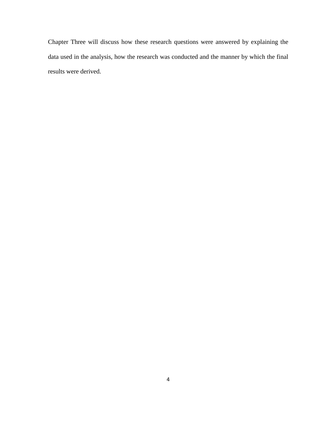Chapter Three will discuss how these research questions were answered by explaining the data used in the analysis, how the research was conducted and the manner by which the final results were derived.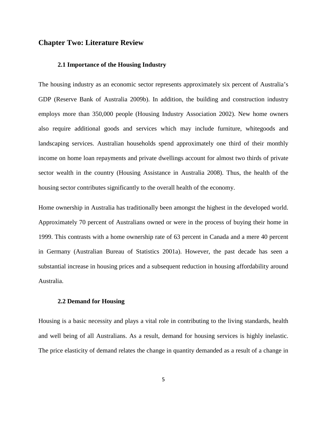#### **Chapter Two: Literature Review**

#### **2.1 Importance of the Housing Industry**

The housing industry as an economic sector represents approximately six percent of Australia's GDP (Reserve Bank of Australia 2009b). In addition, the building and construction industry employs more than 350,000 people (Housing Industry Association 2002). New home owners also require additional goods and services which may include furniture, whitegoods and landscaping services. Australian households spend approximately one third of their monthly income on home loan repayments and private dwellings account for almost two thirds of private sector wealth in the country (Housing Assistance in Australia 2008). Thus, the health of the housing sector contributes significantly to the overall health of the economy.

Home ownership in Australia has traditionally been amongst the highest in the developed world. Approximately 70 percent of Australians owned or were in the process of buying their home in 1999. This contrasts with a home ownership rate of 63 percent in Canada and a mere 40 percent in Germany (Australian Bureau of Statistics 2001a). However, the past decade has seen a substantial increase in housing prices and a subsequent reduction in housing affordability around Australia.

#### **2.2 Demand for Housing**

Housing is a basic necessity and plays a vital role in contributing to the living standards, health and well being of all Australians. As a result, demand for housing services is highly inelastic. The price elasticity of demand relates the change in quantity demanded as a result of a change in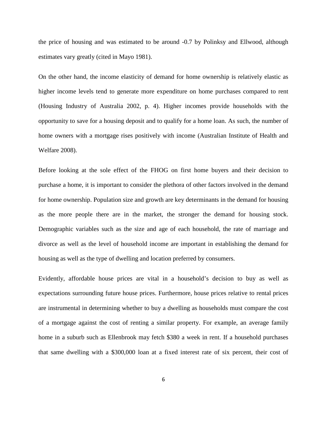the price of housing and was estimated to be around -0.7 by Polinksy and Ellwood, although estimates vary greatly (cited in Mayo 1981).

On the other hand, the income elasticity of demand for home ownership is relatively elastic as higher income levels tend to generate more expenditure on home purchases compared to rent (Housing Industry of Australia 2002, p. 4). Higher incomes provide households with the opportunity to save for a housing deposit and to qualify for a home loan. As such, the number of home owners with a mortgage rises positively with income (Australian Institute of Health and Welfare 2008).

Before looking at the sole effect of the FHOG on first home buyers and their decision to purchase a home, it is important to consider the plethora of other factors involved in the demand for home ownership. Population size and growth are key determinants in the demand for housing as the more people there are in the market, the stronger the demand for housing stock. Demographic variables such as the size and age of each household, the rate of marriage and divorce as well as the level of household income are important in establishing the demand for housing as well as the type of dwelling and location preferred by consumers.

Evidently, affordable house prices are vital in a household's decision to buy as well as expectations surrounding future house prices. Furthermore, house prices relative to rental prices are instrumental in determining whether to buy a dwelling as households must compare the cost of a mortgage against the cost of renting a similar property. For example, an average family home in a suburb such as Ellenbrook may fetch \$380 a week in rent. If a household purchases that same dwelling with a \$300,000 loan at a fixed interest rate of six percent, their cost of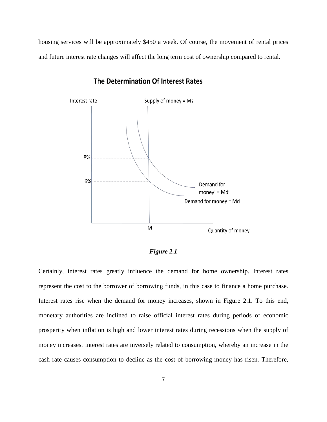housing services will be approximately \$450 a week. Of course, the movement of rental prices and future interest rate changes will affect the long term cost of ownership compared to rental.



### The Determination Of Interest Rates

*Figure 2.1* 

Certainly, interest rates greatly influence the demand for home ownership. Interest rates represent the cost to the borrower of borrowing funds, in this case to finance a home purchase. Interest rates rise when the demand for money increases, shown in Figure 2.1. To this end, monetary authorities are inclined to raise official interest rates during periods of economic prosperity when inflation is high and lower interest rates during recessions when the supply of money increases. Interest rates are inversely related to consumption, whereby an increase in the cash rate causes consumption to decline as the cost of borrowing money has risen. Therefore,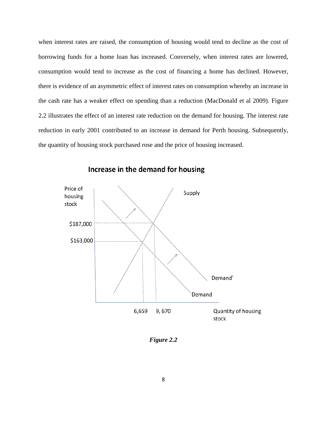when interest rates are raised, the consumption of housing would tend to decline as the cost of borrowing funds for a home loan has increased. Conversely, when interest rates are lowered, consumption would tend to increase as the cost of financing a home has declined. However, there is evidence of an asymmetric effect of interest rates on consumption whereby an increase in the cash rate has a weaker effect on spending than a reduction (MacDonald et al 2009). Figure 2.2 illustrates the effect of an interest rate reduction on the demand for housing. The interest rate reduction in early 2001 contributed to an increase in demand for Perth housing. Subsequently, the quantity of housing stock purchased rose and the price of housing increased.



## Increase in the demand for housing

*Figure 2.2*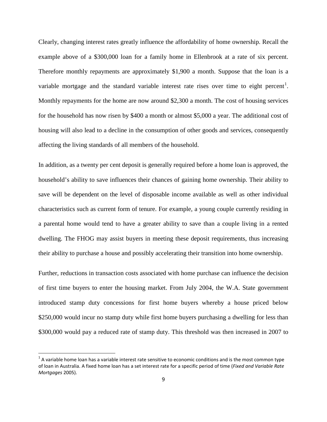Clearly, changing interest rates greatly influence the affordability of home ownership. Recall the example above of a \$300,000 loan for a family home in Ellenbrook at a rate of six percent. Therefore monthly repayments are approximately \$1,900 a month. Suppose that the loan is a variable mortgage and the standard variable interest rate rises over time to eight percent<sup>[1](#page-23-0)</sup>. Monthly repayments for the home are now around \$2,300 a month. The cost of housing services for the household has now risen by \$400 a month or almost \$5,000 a year. The additional cost of housing will also lead to a decline in the consumption of other goods and services, consequently affecting the living standards of all members of the household.

In addition, as a twenty per cent deposit is generally required before a home loan is approved, the household's ability to save influences their chances of gaining home ownership. Their ability to save will be dependent on the level of disposable income available as well as other individual characteristics such as current form of tenure. For example, a young couple currently residing in a parental home would tend to have a greater ability to save than a couple living in a rented dwelling. The FHOG may assist buyers in meeting these deposit requirements, thus increasing their ability to purchase a house and possibly accelerating their transition into home ownership.

Further, reductions in transaction costs associated with home purchase can influence the decision of first time buyers to enter the housing market. From July 2004, the W.A. State government introduced stamp duty concessions for first home buyers whereby a house priced below \$250,000 would incur no stamp duty while first home buyers purchasing a dwelling for less than \$300,000 would pay a reduced rate of stamp duty. This threshold was then increased in 2007 to

ı

<span id="page-23-0"></span> $1$  A variable home loan has a variable interest rate sensitive to economic conditions and is the most common type of loan in Australia. A fixed home loan has a set interest rate for a specific period of time (*Fixed and Variable Rate Mortgages* 2005).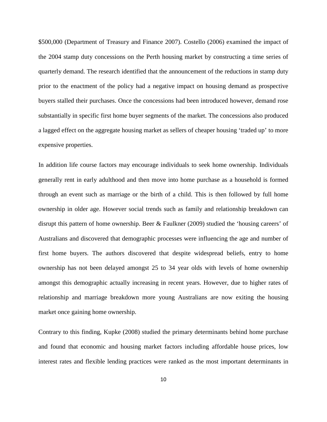\$500,000 (Department of Treasury and Finance 2007). Costello (2006) examined the impact of the 2004 stamp duty concessions on the Perth housing market by constructing a time series of quarterly demand. The research identified that the announcement of the reductions in stamp duty prior to the enactment of the policy had a negative impact on housing demand as prospective buyers stalled their purchases. Once the concessions had been introduced however, demand rose substantially in specific first home buyer segments of the market. The concessions also produced a lagged effect on the aggregate housing market as sellers of cheaper housing 'traded up' to more expensive properties.

In addition life course factors may encourage individuals to seek home ownership. Individuals generally rent in early adulthood and then move into home purchase as a household is formed through an event such as marriage or the birth of a child. This is then followed by full home ownership in older age. However social trends such as family and relationship breakdown can disrupt this pattern of home ownership. Beer & Faulkner (2009) studied the 'housing careers' of Australians and discovered that demographic processes were influencing the age and number of first home buyers. The authors discovered that despite widespread beliefs, entry to home ownership has not been delayed amongst 25 to 34 year olds with levels of home ownership amongst this demographic actually increasing in recent years. However, due to higher rates of relationship and marriage breakdown more young Australians are now exiting the housing market once gaining home ownership.

Contrary to this finding, Kupke (2008) studied the primary determinants behind home purchase and found that economic and housing market factors including affordable house prices, low interest rates and flexible lending practices were ranked as the most important determinants in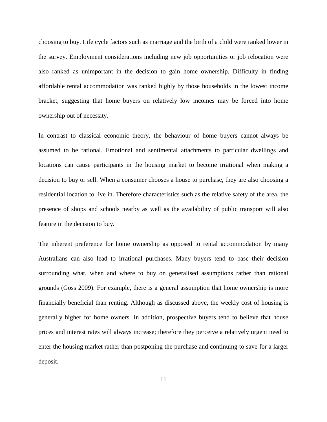choosing to buy. Life cycle factors such as marriage and the birth of a child were ranked lower in the survey. Employment considerations including new job opportunities or job relocation were also ranked as unimportant in the decision to gain home ownership. Difficulty in finding affordable rental accommodation was ranked highly by those households in the lowest income bracket, suggesting that home buyers on relatively low incomes may be forced into home ownership out of necessity.

In contrast to classical economic theory, the behaviour of home buyers cannot always be assumed to be rational. Emotional and sentimental attachments to particular dwellings and locations can cause participants in the housing market to become irrational when making a decision to buy or sell. When a consumer chooses a house to purchase, they are also choosing a residential location to live in. Therefore characteristics such as the relative safety of the area, the presence of shops and schools nearby as well as the availability of public transport will also feature in the decision to buy.

The inherent preference for home ownership as opposed to rental accommodation by many Australians can also lead to irrational purchases. Many buyers tend to base their decision surrounding what, when and where to buy on generalised assumptions rather than rational grounds (Goss 2009). For example, there is a general assumption that home ownership is more financially beneficial than renting. Although as discussed above, the weekly cost of housing is generally higher for home owners. In addition, prospective buyers tend to believe that house prices and interest rates will always increase; therefore they perceive a relatively urgent need to enter the housing market rather than postponing the purchase and continuing to save for a larger deposit.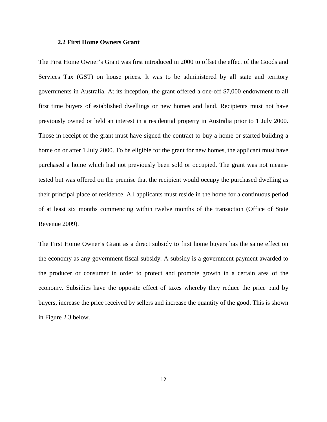#### **2.2 First Home Owners Grant**

The First Home Owner's Grant was first introduced in 2000 to offset the effect of the Goods and Services Tax (GST) on house prices. It was to be administered by all state and territory governments in Australia. At its inception, the grant offered a one-off \$7,000 endowment to all first time buyers of established dwellings or new homes and land. Recipients must not have previously owned or held an interest in a residential property in Australia prior to 1 July 2000. Those in receipt of the grant must have signed the contract to buy a home or started building a home on or after 1 July 2000. To be eligible for the grant for new homes, the applicant must have purchased a home which had not previously been sold or occupied. The grant was not meanstested but was offered on the premise that the recipient would occupy the purchased dwelling as their principal place of residence. All applicants must reside in the home for a continuous period of at least six months commencing within twelve months of the transaction (Office of State Revenue 2009).

The First Home Owner's Grant as a direct subsidy to first home buyers has the same effect on the economy as any government fiscal subsidy. A subsidy is a government payment awarded to the producer or consumer in order to protect and promote growth in a certain area of the economy. Subsidies have the opposite effect of taxes whereby they reduce the price paid by buyers, increase the price received by sellers and increase the quantity of the good. This is shown in Figure 2.3 below.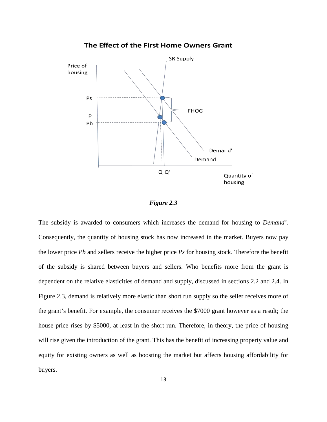

#### *Figure 2.3*

The subsidy is awarded to consumers which increases the demand for housing to *Demand'.* Consequently, the quantity of housing stock has now increased in the market. Buyers now pay the lower price *Pb* and sellers receive the higher price *Ps* for housing stock. Therefore the benefit of the subsidy is shared between buyers and sellers. Who benefits more from the grant is dependent on the relative elasticities of demand and supply, discussed in sections 2.2 and 2.4. In Figure 2.3, demand is relatively more elastic than short run supply so the seller receives more of the grant's benefit. For example, the consumer receives the \$7000 grant however as a result; the house price rises by \$5000, at least in the short run. Therefore, in theory, the price of housing will rise given the introduction of the grant. This has the benefit of increasing property value and equity for existing owners as well as boosting the market but affects housing affordability for buyers.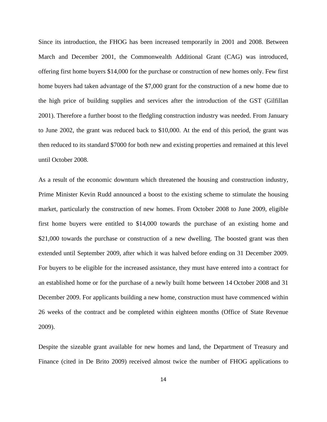Since its introduction, the FHOG has been increased temporarily in 2001 and 2008. Between March and December 2001, the Commonwealth Additional Grant (CAG) was introduced, offering first home buyers \$14,000 for the purchase or construction of new homes only. Few first home buyers had taken advantage of the \$7,000 grant for the construction of a new home due to the high price of building supplies and services after the introduction of the GST (Gilfillan 2001). Therefore a further boost to the fledgling construction industry was needed. From January to June 2002, the grant was reduced back to \$10,000. At the end of this period, the grant was then reduced to its standard \$7000 for both new and existing properties and remained at this level until October 2008.

As a result of the economic downturn which threatened the housing and construction industry, Prime Minister Kevin Rudd announced a boost to the existing scheme to stimulate the housing market, particularly the construction of new homes. From October 2008 to June 2009, eligible first home buyers were entitled to \$14,000 towards the purchase of an existing home and \$21,000 towards the purchase or construction of a new dwelling. The boosted grant was then extended until September 2009, after which it was halved before ending on 31 December 2009. For buyers to be eligible for the increased assistance, they must have entered into a contract for an established home or for the purchase of a newly built home between 14 October 2008 and 31 December 2009. For applicants building a new home, construction must have commenced within 26 weeks of the contract and be completed within eighteen months (Office of State Revenue 2009).

Despite the sizeable grant available for new homes and land, the Department of Treasury and Finance (cited in De Brito 2009) received almost twice the number of FHOG applications to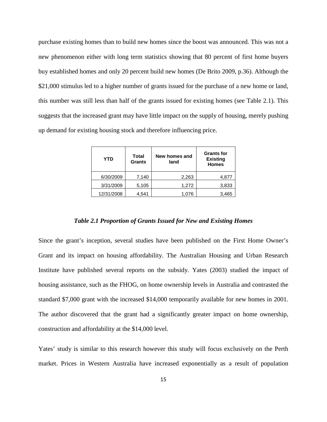purchase existing homes than to build new homes since the boost was announced. This was not a new phenomenon either with long term statistics showing that 80 percent of first home buyers buy established homes and only 20 percent build new homes (De Brito 2009, p.36). Although the \$21,000 stimulus led to a higher number of grants issued for the purchase of a new home or land, this number was still less than half of the grants issued for existing homes (see Table 2.1). This suggests that the increased grant may have little impact on the supply of housing, merely pushing up demand for existing housing stock and therefore influencing price.

| <b>YTD</b> | Total<br><b>Grants</b> | New homes and<br>land | <b>Grants for</b><br><b>Existing</b><br><b>Homes</b> |
|------------|------------------------|-----------------------|------------------------------------------------------|
| 6/30/2009  | 7,140                  | 2,263                 | 4,877                                                |
| 3/31/2009  | 5,105                  | 1,272                 | 3,833                                                |
| 12/31/2008 | 4,541                  | 1,076                 | 3,465                                                |

#### *Table 2.1 Proportion of Grants Issued for New and Existing Homes*

Since the grant's inception, several studies have been published on the First Home Owner's Grant and its impact on housing affordability. The Australian Housing and Urban Research Institute have published several reports on the subsidy. Yates (2003) studied the impact of housing assistance, such as the FHOG, on home ownership levels in Australia and contrasted the standard \$7,000 grant with the increased \$14,000 temporarily available for new homes in 2001. The author discovered that the grant had a significantly greater impact on home ownership, construction and affordability at the \$14,000 level.

Yates' study is similar to this research however this study will focus exclusively on the Perth market. Prices in Western Australia have increased exponentially as a result of population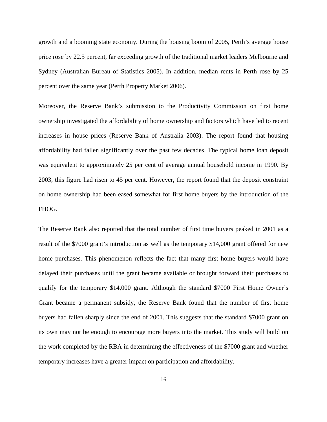growth and a booming state economy. During the housing boom of 2005, Perth's average house price rose by 22.5 percent, far exceeding growth of the traditional market leaders Melbourne and Sydney (Australian Bureau of Statistics 2005). In addition, median rents in Perth rose by 25 percent over the same year (Perth Property Market 2006).

Moreover, the Reserve Bank's submission to the Productivity Commission on first home ownership investigated the affordability of home ownership and factors which have led to recent increases in house prices (Reserve Bank of Australia 2003). The report found that housing affordability had fallen significantly over the past few decades. The typical home loan deposit was equivalent to approximately 25 per cent of average annual household income in 1990. By 2003, this figure had risen to 45 per cent. However, the report found that the deposit constraint on home ownership had been eased somewhat for first home buyers by the introduction of the FHOG.

The Reserve Bank also reported that the total number of first time buyers peaked in 2001 as a result of the \$7000 grant's introduction as well as the temporary \$14,000 grant offered for new home purchases. This phenomenon reflects the fact that many first home buyers would have delayed their purchases until the grant became available or brought forward their purchases to qualify for the temporary \$14,000 grant. Although the standard \$7000 First Home Owner's Grant became a permanent subsidy, the Reserve Bank found that the number of first home buyers had fallen sharply since the end of 2001. This suggests that the standard \$7000 grant on its own may not be enough to encourage more buyers into the market. This study will build on the work completed by the RBA in determining the effectiveness of the \$7000 grant and whether temporary increases have a greater impact on participation and affordability.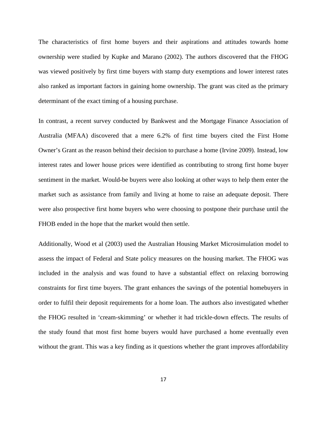The characteristics of first home buyers and their aspirations and attitudes towards home ownership were studied by Kupke and Marano (2002). The authors discovered that the FHOG was viewed positively by first time buyers with stamp duty exemptions and lower interest rates also ranked as important factors in gaining home ownership. The grant was cited as the primary determinant of the exact timing of a housing purchase.

In contrast, a recent survey conducted by Bankwest and the Mortgage Finance Association of Australia (MFAA) discovered that a mere 6.2% of first time buyers cited the First Home Owner's Grant as the reason behind their decision to purchase a home (Irvine 2009). Instead, low interest rates and lower house prices were identified as contributing to strong first home buyer sentiment in the market. Would-be buyers were also looking at other ways to help them enter the market such as assistance from family and living at home to raise an adequate deposit. There were also prospective first home buyers who were choosing to postpone their purchase until the FHOB ended in the hope that the market would then settle.

Additionally, Wood et al (2003) used the Australian Housing Market Microsimulation model to assess the impact of Federal and State policy measures on the housing market. The FHOG was included in the analysis and was found to have a substantial effect on relaxing borrowing constraints for first time buyers. The grant enhances the savings of the potential homebuyers in order to fulfil their deposit requirements for a home loan. The authors also investigated whether the FHOG resulted in 'cream-skimming' or whether it had trickle-down effects. The results of the study found that most first home buyers would have purchased a home eventually even without the grant. This was a key finding as it questions whether the grant improves affordability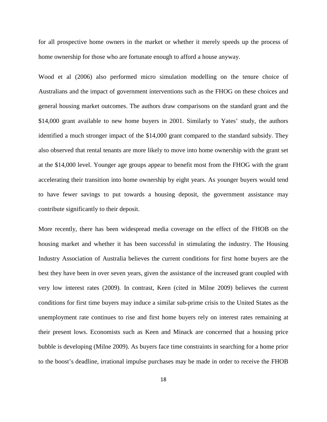for all prospective home owners in the market or whether it merely speeds up the process of home ownership for those who are fortunate enough to afford a house anyway.

Wood et al (2006) also performed micro simulation modelling on the tenure choice of Australians and the impact of government interventions such as the FHOG on these choices and general housing market outcomes. The authors draw comparisons on the standard grant and the \$14,000 grant available to new home buyers in 2001. Similarly to Yates' study, the authors identified a much stronger impact of the \$14,000 grant compared to the standard subsidy. They also observed that rental tenants are more likely to move into home ownership with the grant set at the \$14,000 level. Younger age groups appear to benefit most from the FHOG with the grant accelerating their transition into home ownership by eight years. As younger buyers would tend to have fewer savings to put towards a housing deposit, the government assistance may contribute significantly to their deposit.

More recently, there has been widespread media coverage on the effect of the FHOB on the housing market and whether it has been successful in stimulating the industry. The Housing Industry Association of Australia believes the current conditions for first home buyers are the best they have been in over seven years, given the assistance of the increased grant coupled with very low interest rates (2009). In contrast, Keen (cited in Milne 2009) believes the current conditions for first time buyers may induce a similar sub-prime crisis to the United States as the unemployment rate continues to rise and first home buyers rely on interest rates remaining at their present lows. Economists such as Keen and Minack are concerned that a housing price bubble is developing (Milne 2009). As buyers face time constraints in searching for a home prior to the boost's deadline, irrational impulse purchases may be made in order to receive the FHOB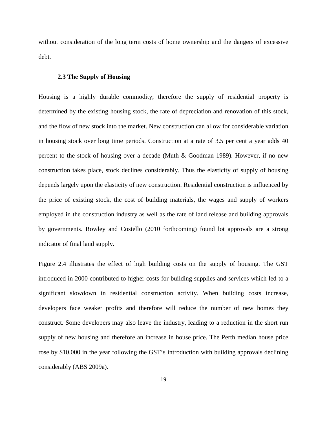without consideration of the long term costs of home ownership and the dangers of excessive debt.

#### **2.3 The Supply of Housing**

Housing is a highly durable commodity; therefore the supply of residential property is determined by the existing housing stock, the rate of depreciation and renovation of this stock, and the flow of new stock into the market. New construction can allow for considerable variation in housing stock over long time periods. Construction at a rate of 3.5 per cent a year adds 40 percent to the stock of housing over a decade (Muth & Goodman 1989). However, if no new construction takes place, stock declines considerably. Thus the elasticity of supply of housing depends largely upon the elasticity of new construction. Residential construction is influenced by the price of existing stock, the cost of building materials, the wages and supply of workers employed in the construction industry as well as the rate of land release and building approvals by governments. Rowley and Costello (2010 forthcoming) found lot approvals are a strong indicator of final land supply.

Figure 2.4 illustrates the effect of high building costs on the supply of housing. The GST introduced in 2000 contributed to higher costs for building supplies and services which led to a significant slowdown in residential construction activity. When building costs increase, developers face weaker profits and therefore will reduce the number of new homes they construct. Some developers may also leave the industry, leading to a reduction in the short run supply of new housing and therefore an increase in house price. The Perth median house price rose by \$10,000 in the year following the GST's introduction with building approvals declining considerably (ABS 2009a).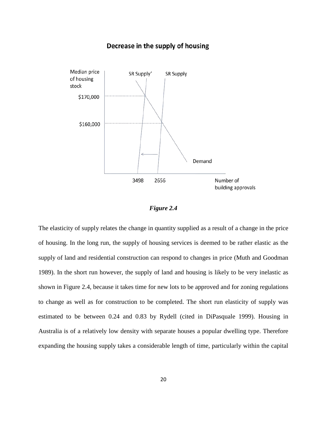## Decrease in the supply of housing



*Figure 2.4* 

The elasticity of supply relates the change in quantity supplied as a result of a change in the price of housing. In the long run, the supply of housing services is deemed to be rather elastic as the supply of land and residential construction can respond to changes in price (Muth and Goodman 1989). In the short run however, the supply of land and housing is likely to be very inelastic as shown in Figure 2.4, because it takes time for new lots to be approved and for zoning regulations to change as well as for construction to be completed. The short run elasticity of supply was estimated to be between 0.24 and 0.83 by Rydell (cited in DiPasquale 1999). Housing in Australia is of a relatively low density with separate houses a popular dwelling type. Therefore expanding the housing supply takes a considerable length of time, particularly within the capital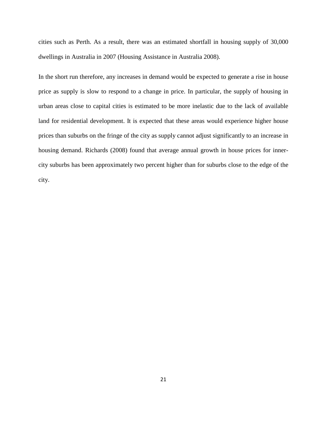cities such as Perth. As a result, there was an estimated shortfall in housing supply of 30,000 dwellings in Australia in 2007 (Housing Assistance in Australia 2008).

In the short run therefore, any increases in demand would be expected to generate a rise in house price as supply is slow to respond to a change in price. In particular, the supply of housing in urban areas close to capital cities is estimated to be more inelastic due to the lack of available land for residential development. It is expected that these areas would experience higher house prices than suburbs on the fringe of the city as supply cannot adjust significantly to an increase in housing demand. Richards (2008) found that average annual growth in house prices for innercity suburbs has been approximately two percent higher than for suburbs close to the edge of the city.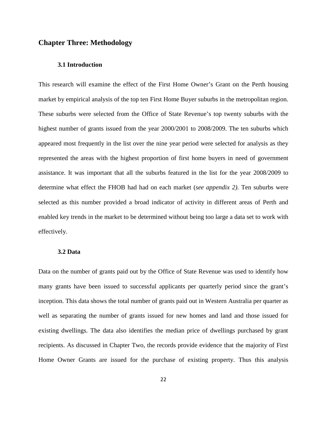# **Chapter Three: Methodology**

# **3.1 Introduction**

This research will examine the effect of the First Home Owner's Grant on the Perth housing market by empirical analysis of the top ten First Home Buyer suburbs in the metropolitan region. These suburbs were selected from the Office of State Revenue's top twenty suburbs with the highest number of grants issued from the year 2000/2001 to 2008/2009. The ten suburbs which appeared most frequently in the list over the nine year period were selected for analysis as they represented the areas with the highest proportion of first home buyers in need of government assistance. It was important that all the suburbs featured in the list for the year 2008/2009 to determine what effect the FHOB had had on each market (*see appendix 2)*. Ten suburbs were selected as this number provided a broad indicator of activity in different areas of Perth and enabled key trends in the market to be determined without being too large a data set to work with effectively.

### **3.2 Data**

Data on the number of grants paid out by the Office of State Revenue was used to identify how many grants have been issued to successful applicants per quarterly period since the grant's inception. This data shows the total number of grants paid out in Western Australia per quarter as well as separating the number of grants issued for new homes and land and those issued for existing dwellings. The data also identifies the median price of dwellings purchased by grant recipients. As discussed in Chapter Two, the records provide evidence that the majority of First Home Owner Grants are issued for the purchase of existing property. Thus this analysis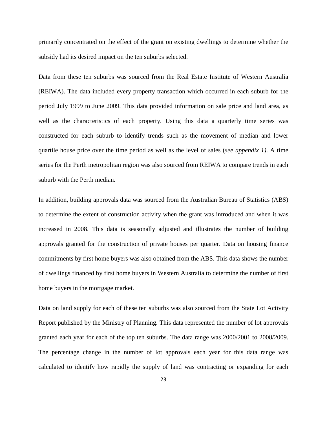primarily concentrated on the effect of the grant on existing dwellings to determine whether the subsidy had its desired impact on the ten suburbs selected.

Data from these ten suburbs was sourced from the Real Estate Institute of Western Australia (REIWA). The data included every property transaction which occurred in each suburb for the period July 1999 to June 2009. This data provided information on sale price and land area, as well as the characteristics of each property. Using this data a quarterly time series was constructed for each suburb to identify trends such as the movement of median and lower quartile house price over the time period as well as the level of sales (*see appendix 1)*. A time series for the Perth metropolitan region was also sourced from REIWA to compare trends in each suburb with the Perth median.

In addition, building approvals data was sourced from the Australian Bureau of Statistics (ABS) to determine the extent of construction activity when the grant was introduced and when it was increased in 2008. This data is seasonally adjusted and illustrates the number of building approvals granted for the construction of private houses per quarter. Data on housing finance commitments by first home buyers was also obtained from the ABS. This data shows the number of dwellings financed by first home buyers in Western Australia to determine the number of first home buyers in the mortgage market.

Data on land supply for each of these ten suburbs was also sourced from the State Lot Activity Report published by the Ministry of Planning. This data represented the number of lot approvals granted each year for each of the top ten suburbs. The data range was 2000/2001 to 2008/2009. The percentage change in the number of lot approvals each year for this data range was calculated to identify how rapidly the supply of land was contracting or expanding for each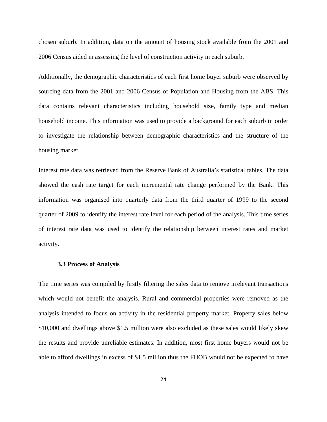chosen suburb. In addition, data on the amount of housing stock available from the 2001 and 2006 Census aided in assessing the level of construction activity in each suburb.

Additionally, the demographic characteristics of each first home buyer suburb were observed by sourcing data from the 2001 and 2006 Census of Population and Housing from the ABS. This data contains relevant characteristics including household size, family type and median household income. This information was used to provide a background for each suburb in order to investigate the relationship between demographic characteristics and the structure of the housing market.

Interest rate data was retrieved from the Reserve Bank of Australia's statistical tables. The data showed the cash rate target for each incremental rate change performed by the Bank. This information was organised into quarterly data from the third quarter of 1999 to the second quarter of 2009 to identify the interest rate level for each period of the analysis. This time series of interest rate data was used to identify the relationship between interest rates and market activity.

### **3.3 Process of Analysis**

The time series was compiled by firstly filtering the sales data to remove irrelevant transactions which would not benefit the analysis. Rural and commercial properties were removed as the analysis intended to focus on activity in the residential property market. Property sales below \$10,000 and dwellings above \$1.5 million were also excluded as these sales would likely skew the results and provide unreliable estimates. In addition, most first home buyers would not be able to afford dwellings in excess of \$1.5 million thus the FHOB would not be expected to have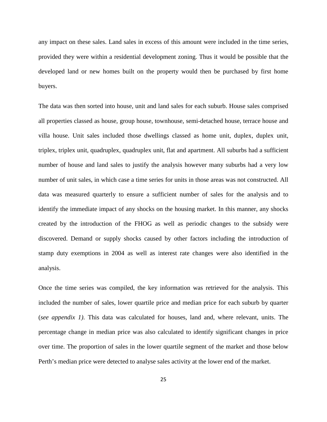any impact on these sales. Land sales in excess of this amount were included in the time series, provided they were within a residential development zoning. Thus it would be possible that the developed land or new homes built on the property would then be purchased by first home buyers.

The data was then sorted into house, unit and land sales for each suburb. House sales comprised all properties classed as house, group house, townhouse, semi-detached house, terrace house and villa house. Unit sales included those dwellings classed as home unit, duplex, duplex unit, triplex, triplex unit, quadruplex, quadruplex unit, flat and apartment. All suburbs had a sufficient number of house and land sales to justify the analysis however many suburbs had a very low number of unit sales, in which case a time series for units in those areas was not constructed. All data was measured quarterly to ensure a sufficient number of sales for the analysis and to identify the immediate impact of any shocks on the housing market. In this manner, any shocks created by the introduction of the FHOG as well as periodic changes to the subsidy were discovered. Demand or supply shocks caused by other factors including the introduction of stamp duty exemptions in 2004 as well as interest rate changes were also identified in the analysis.

Once the time series was compiled, the key information was retrieved for the analysis. This included the number of sales, lower quartile price and median price for each suburb by quarter (*see appendix 1)*. This data was calculated for houses, land and, where relevant, units. The percentage change in median price was also calculated to identify significant changes in price over time. The proportion of sales in the lower quartile segment of the market and those below Perth's median price were detected to analyse sales activity at the lower end of the market.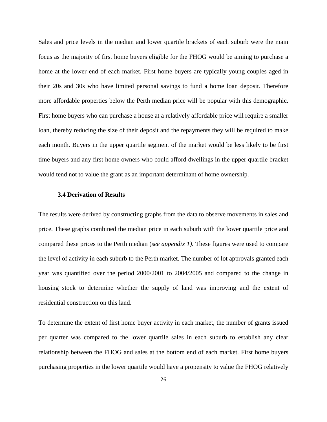Sales and price levels in the median and lower quartile brackets of each suburb were the main focus as the majority of first home buyers eligible for the FHOG would be aiming to purchase a home at the lower end of each market. First home buyers are typically young couples aged in their 20s and 30s who have limited personal savings to fund a home loan deposit. Therefore more affordable properties below the Perth median price will be popular with this demographic. First home buyers who can purchase a house at a relatively affordable price will require a smaller loan, thereby reducing the size of their deposit and the repayments they will be required to make each month. Buyers in the upper quartile segment of the market would be less likely to be first time buyers and any first home owners who could afford dwellings in the upper quartile bracket would tend not to value the grant as an important determinant of home ownership.

# **3.4 Derivation of Results**

The results were derived by constructing graphs from the data to observe movements in sales and price. These graphs combined the median price in each suburb with the lower quartile price and compared these prices to the Perth median (*see appendix 1)*. These figures were used to compare the level of activity in each suburb to the Perth market. The number of lot approvals granted each year was quantified over the period 2000/2001 to 2004/2005 and compared to the change in housing stock to determine whether the supply of land was improving and the extent of residential construction on this land.

To determine the extent of first home buyer activity in each market, the number of grants issued per quarter was compared to the lower quartile sales in each suburb to establish any clear relationship between the FHOG and sales at the bottom end of each market. First home buyers purchasing properties in the lower quartile would have a propensity to value the FHOG relatively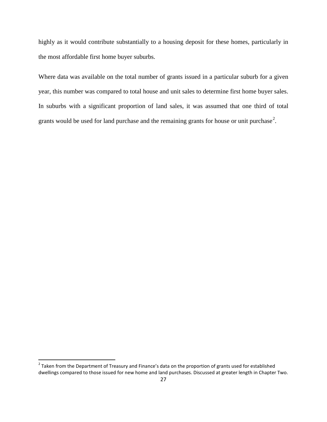highly as it would contribute substantially to a housing deposit for these homes, particularly in the most affordable first home buyer suburbs.

Where data was available on the total number of grants issued in a particular suburb for a given year, this number was compared to total house and unit sales to determine first home buyer sales. In suburbs with a significant proportion of land sales, it was assumed that one third of total grants would be used for land purchase and the remaining grants for house or unit purchase<sup>[2](#page-41-0)</sup>.

ı

<span id="page-41-0"></span> $2$  Taken from the Department of Treasury and Finance's data on the proportion of grants used for established dwellings compared to those issued for new home and land purchases. Discussed at greater length in Chapter Two.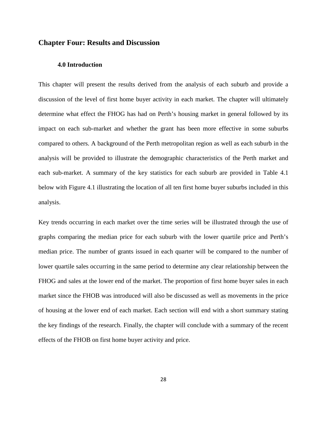# **Chapter Four: Results and Discussion**

# **4.0 Introduction**

This chapter will present the results derived from the analysis of each suburb and provide a discussion of the level of first home buyer activity in each market. The chapter will ultimately determine what effect the FHOG has had on Perth's housing market in general followed by its impact on each sub-market and whether the grant has been more effective in some suburbs compared to others. A background of the Perth metropolitan region as well as each suburb in the analysis will be provided to illustrate the demographic characteristics of the Perth market and each sub-market. A summary of the key statistics for each suburb are provided in Table 4.1 below with Figure 4.1 illustrating the location of all ten first home buyer suburbs included in this analysis.

Key trends occurring in each market over the time series will be illustrated through the use of graphs comparing the median price for each suburb with the lower quartile price and Perth's median price. The number of grants issued in each quarter will be compared to the number of lower quartile sales occurring in the same period to determine any clear relationship between the FHOG and sales at the lower end of the market. The proportion of first home buyer sales in each market since the FHOB was introduced will also be discussed as well as movements in the price of housing at the lower end of each market. Each section will end with a short summary stating the key findings of the research. Finally, the chapter will conclude with a summary of the recent effects of the FHOB on first home buyer activity and price.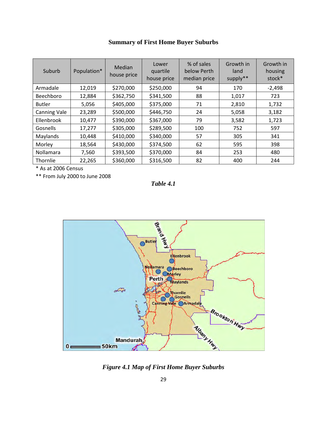| Suburb              | Population* | <b>Median</b><br>house price | Lower<br>quartile<br>house price | % of sales<br>below Perth<br>median price | Growth in<br>land<br>supply** | Growth in<br>housing<br>stock* |
|---------------------|-------------|------------------------------|----------------------------------|-------------------------------------------|-------------------------------|--------------------------------|
| Armadale            | 12,019      | \$270,000                    | \$250,000                        | 94                                        | 170                           | $-2,498$                       |
| Beechboro           | 12,884      | \$362,750                    | \$341,500                        | 88                                        | 1,017                         | 723                            |
| <b>Butler</b>       | 5,056       | \$405,000                    | \$375,000                        | 71                                        | 2,810                         | 1,732                          |
| <b>Canning Vale</b> | 23,289      | \$500,000                    | \$446,750                        | 24                                        | 5,058                         | 3,182                          |
| Ellenbrook          | 10,477      | \$390,000                    | \$367,000                        | 79                                        | 3,582                         | 1,723                          |
| <b>Gosnells</b>     | 17,277      | \$305,000                    | \$289,500                        | 100                                       | 752                           | 597                            |
| Maylands            | 10,448      | \$410,000                    | \$340,000                        | 57                                        | 305                           | 341                            |
| Morley              | 18,564      | \$430,000                    | \$374,500                        | 62                                        | 595                           | 398                            |
| Nollamara           | 7,560       | \$393,500                    | \$370,000                        | 84                                        | 253                           | 480                            |
| Thornlie            | 22,265      | \$360,000                    | \$316,500                        | 82                                        | 400                           | 244                            |

\* As at 2006 Census

\*\* From July 2000 to June 2008

*Table 4.1* 



*Figure 4.1 Map of First Home Buyer Suburbs*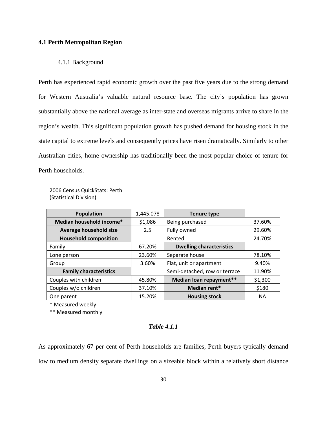## **4.1 Perth Metropolitan Region**

# 4.1.1 Background

Perth has experienced rapid economic growth over the past five years due to the strong demand for Western Australia's valuable natural resource base. The city's population has grown substantially above the national average as inter-state and overseas migrants arrive to share in the region's wealth. This significant population growth has pushed demand for housing stock in the state capital to extreme levels and consequently prices have risen dramatically. Similarly to other Australian cities, home ownership has traditionally been the most popular choice of tenure for Perth households.

2006 Census QuickStats: Perth (Statistical Division)

| <b>Population</b>             | 1,445,078 | <b>Tenure type</b>              |           |
|-------------------------------|-----------|---------------------------------|-----------|
| Median household income*      | \$1,086   | Being purchased                 | 37.60%    |
| Average household size        | 2.5       | Fully owned                     | 29.60%    |
| <b>Household composition</b>  |           | Rented                          | 24.70%    |
| Family                        | 67.20%    | <b>Dwelling characteristics</b> |           |
| Lone person                   | 23.60%    | Separate house                  | 78.10%    |
| Group                         | 3.60%     | Flat, unit or apartment         | 9.40%     |
| <b>Family characteristics</b> |           | Semi-detached, row or terrace   | 11.90%    |
| Couples with children         | 45.80%    | Median loan repayment**         | \$1,300   |
| Couples w/o children          | 37.10%    | Median rent*                    | \$180     |
| One parent                    | 15.20%    | <b>Housing stock</b>            | <b>NA</b> |

\* Measured weekly

\*\* Measured monthly

# *Table 4.1.1*

As approximately 67 per cent of Perth households are families, Perth buyers typically demand low to medium density separate dwellings on a sizeable block within a relatively short distance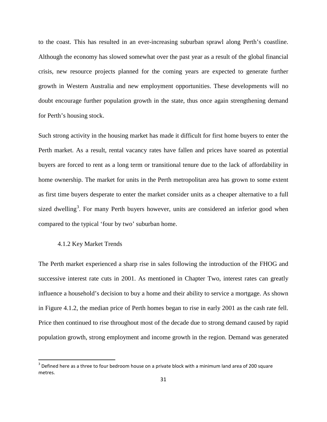to the coast. This has resulted in an ever-increasing suburban sprawl along Perth's coastline. Although the economy has slowed somewhat over the past year as a result of the global financial crisis, new resource projects planned for the coming years are expected to generate further growth in Western Australia and new employment opportunities. These developments will no doubt encourage further population growth in the state, thus once again strengthening demand for Perth's housing stock.

Such strong activity in the housing market has made it difficult for first home buyers to enter the Perth market. As a result, rental vacancy rates have fallen and prices have soared as potential buyers are forced to rent as a long term or transitional tenure due to the lack of affordability in home ownership. The market for units in the Perth metropolitan area has grown to some extent as first time buyers desperate to enter the market consider units as a cheaper alternative to a full sized dwelling<sup>[3](#page-45-0)</sup>. For many Perth buyers however, units are considered an inferior good when compared to the typical 'four by two' suburban home.

### 4.1.2 Key Market Trends

ı

The Perth market experienced a sharp rise in sales following the introduction of the FHOG and successive interest rate cuts in 2001. As mentioned in Chapter Two, interest rates can greatly influence a household's decision to buy a home and their ability to service a mortgage. As shown in Figure 4.1.2, the median price of Perth homes began to rise in early 2001 as the cash rate fell. Price then continued to rise throughout most of the decade due to strong demand caused by rapid population growth, strong employment and income growth in the region. Demand was generated

<span id="page-45-0"></span> $3$  Defined here as a three to four bedroom house on a private block with a minimum land area of 200 square metres.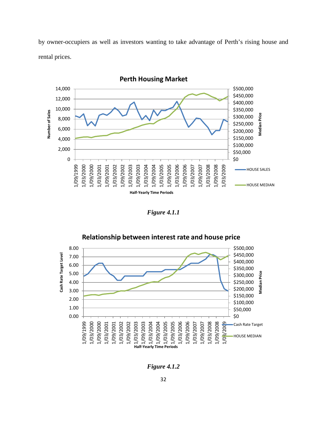by owner-occupiers as well as investors wanting to take advantage of Perth's rising house and rental prices.



*Figure 4.1.1* 



*Figure 4.1.2*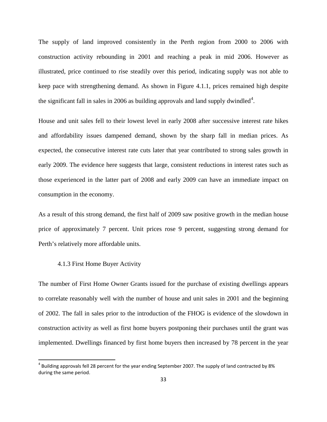The supply of land improved consistently in the Perth region from 2000 to 2006 with construction activity rebounding in 2001 and reaching a peak in mid 2006. However as illustrated, price continued to rise steadily over this period, indicating supply was not able to keep pace with strengthening demand. As shown in Figure 4.1.1, prices remained high despite the significant fall in sales in 2006 as building approvals and land supply dwindled<sup>[4](#page-47-0)</sup>.

House and unit sales fell to their lowest level in early 2008 after successive interest rate hikes and affordability issues dampened demand, shown by the sharp fall in median prices. As expected, the consecutive interest rate cuts later that year contributed to strong sales growth in early 2009. The evidence here suggests that large, consistent reductions in interest rates such as those experienced in the latter part of 2008 and early 2009 can have an immediate impact on consumption in the economy.

As a result of this strong demand, the first half of 2009 saw positive growth in the median house price of approximately 7 percent. Unit prices rose 9 percent, suggesting strong demand for Perth's relatively more affordable units.

### 4.1.3 First Home Buyer Activity

ı

The number of First Home Owner Grants issued for the purchase of existing dwellings appears to correlate reasonably well with the number of house and unit sales in 2001 and the beginning of 2002. The fall in sales prior to the introduction of the FHOG is evidence of the slowdown in construction activity as well as first home buyers postponing their purchases until the grant was implemented. Dwellings financed by first home buyers then increased by 78 percent in the year

<span id="page-47-0"></span> $<sup>4</sup>$  Building approvals fell 28 percent for the year ending September 2007. The supply of land contracted by 8%</sup> during the same period.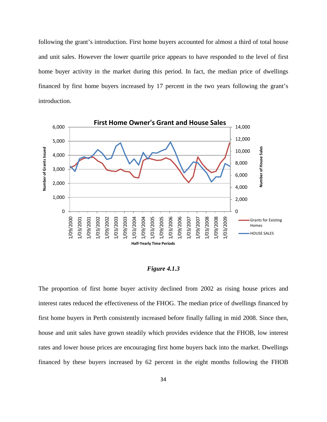following the grant's introduction. First home buyers accounted for almost a third of total house and unit sales. However the lower quartile price appears to have responded to the level of first home buyer activity in the market during this period. In fact, the median price of dwellings financed by first home buyers increased by 17 percent in the two years following the grant's introduction.



### *Figure 4.1.3*

The proportion of first home buyer activity declined from 2002 as rising house prices and interest rates reduced the effectiveness of the FHOG. The median price of dwellings financed by first home buyers in Perth consistently increased before finally falling in mid 2008. Since then, house and unit sales have grown steadily which provides evidence that the FHOB, low interest rates and lower house prices are encouraging first home buyers back into the market. Dwellings financed by these buyers increased by 62 percent in the eight months following the FHOB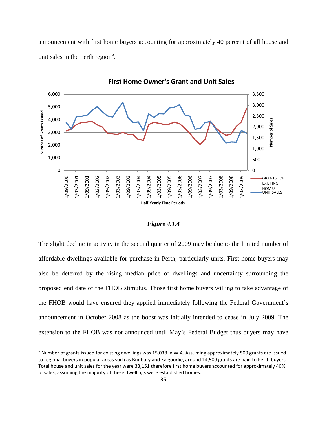announcement with first home buyers accounting for approximately 40 percent of all house and unit sales in the Perth region<sup>[5](#page-49-0)</sup>.



**First Home Owner's Grant and Unit Sales**

## *Figure 4.1.4*

The slight decline in activity in the second quarter of 2009 may be due to the limited number of affordable dwellings available for purchase in Perth, particularly units. First home buyers may also be deterred by the rising median price of dwellings and uncertainty surrounding the proposed end date of the FHOB stimulus. Those first home buyers willing to take advantage of the FHOB would have ensured they applied immediately following the Federal Government's announcement in October 2008 as the boost was initially intended to cease in July 2009. The extension to the FHOB was not announced until May's Federal Budget thus buyers may have

 $\overline{\phantom{0}}$ 

<span id="page-49-0"></span><sup>5</sup> Number of grants issued for existing dwellings was 15,038 in W.A. Assuming approximately 500 grants are issued to regional buyers in popular areas such as Bunbury and Kalgoorlie, around 14,500 grants are paid to Perth buyers. Total house and unit sales for the year were 33,151 therefore first home buyers accounted for approximately 40% of sales, assuming the majority of these dwellings were established homes.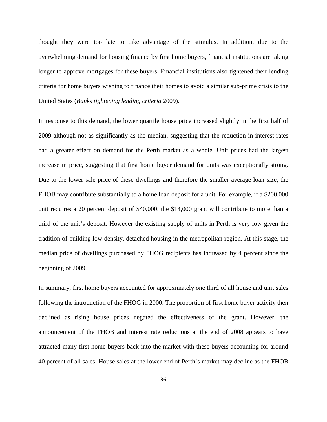thought they were too late to take advantage of the stimulus. In addition, due to the overwhelming demand for housing finance by first home buyers, financial institutions are taking longer to approve mortgages for these buyers. Financial institutions also tightened their lending criteria for home buyers wishing to finance their homes to avoid a similar sub-prime crisis to the United States (*Banks tightening lending criteria* 2009).

In response to this demand, the lower quartile house price increased slightly in the first half of 2009 although not as significantly as the median, suggesting that the reduction in interest rates had a greater effect on demand for the Perth market as a whole. Unit prices had the largest increase in price, suggesting that first home buyer demand for units was exceptionally strong. Due to the lower sale price of these dwellings and therefore the smaller average loan size, the FHOB may contribute substantially to a home loan deposit for a unit. For example, if a \$200,000 unit requires a 20 percent deposit of \$40,000, the \$14,000 grant will contribute to more than a third of the unit's deposit. However the existing supply of units in Perth is very low given the tradition of building low density, detached housing in the metropolitan region. At this stage, the median price of dwellings purchased by FHOG recipients has increased by 4 percent since the beginning of 2009.

In summary, first home buyers accounted for approximately one third of all house and unit sales following the introduction of the FHOG in 2000. The proportion of first home buyer activity then declined as rising house prices negated the effectiveness of the grant. However, the announcement of the FHOB and interest rate reductions at the end of 2008 appears to have attracted many first home buyers back into the market with these buyers accounting for around 40 percent of all sales. House sales at the lower end of Perth's market may decline as the FHOB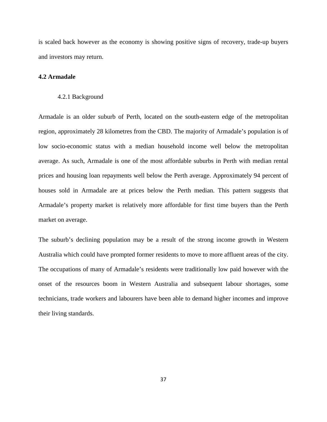is scaled back however as the economy is showing positive signs of recovery, trade-up buyers and investors may return.

# **4.2 Armadale**

#### 4.2.1 Background

Armadale is an older suburb of Perth, located on the south-eastern edge of the metropolitan region, approximately 28 kilometres from the CBD. The majority of Armadale's population is of low socio-economic status with a median household income well below the metropolitan average. As such, Armadale is one of the most affordable suburbs in Perth with median rental prices and housing loan repayments well below the Perth average. Approximately 94 percent of houses sold in Armadale are at prices below the Perth median. This pattern suggests that Armadale's property market is relatively more affordable for first time buyers than the Perth market on average.

The suburb's declining population may be a result of the strong income growth in Western Australia which could have prompted former residents to move to more affluent areas of the city. The occupations of many of Armadale's residents were traditionally low paid however with the onset of the resources boom in Western Australia and subsequent labour shortages, some technicians, trade workers and labourers have been able to demand higher incomes and improve their living standards.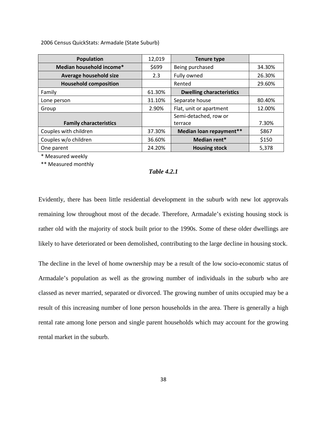2006 Census QuickStats: Armadale (State Suburb)

| <b>Population</b>             | 12,019 | <b>Tenure type</b>              |        |
|-------------------------------|--------|---------------------------------|--------|
| Median household income*      | \$699  | Being purchased                 | 34.30% |
| Average household size        | 2.3    | Fully owned                     | 26.30% |
| <b>Household composition</b>  |        | Rented                          | 29.60% |
| Family                        | 61.30% | <b>Dwelling characteristics</b> |        |
| Lone person                   | 31.10% | Separate house                  | 80.40% |
| Group                         | 2.90%  | Flat, unit or apartment         | 12.00% |
|                               |        | Semi-detached, row or           |        |
| <b>Family characteristics</b> |        | terrace                         | 7.30%  |
| Couples with children         | 37.30% | Median loan repayment**         | \$867  |
| Couples w/o children          | 36.60% | Median rent*                    | \$150  |
| One parent                    | 24.20% | <b>Housing stock</b>            | 5,378  |

\* Measured weekly

\*\* Measured monthly

#### *Table 4.2.1*

Evidently, there has been little residential development in the suburb with new lot approvals remaining low throughout most of the decade. Therefore, Armadale's existing housing stock is rather old with the majority of stock built prior to the 1990s. Some of these older dwellings are likely to have deteriorated or been demolished, contributing to the large decline in housing stock.

The decline in the level of home ownership may be a result of the low socio-economic status of Armadale's population as well as the growing number of individuals in the suburb who are classed as never married, separated or divorced. The growing number of units occupied may be a result of this increasing number of lone person households in the area. There is generally a high rental rate among lone person and single parent households which may account for the growing rental market in the suburb.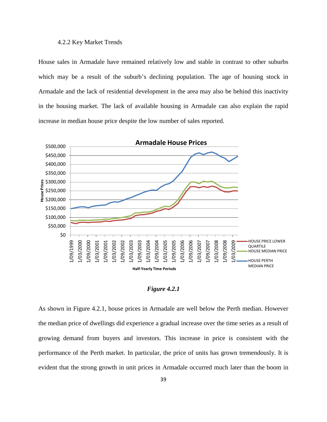### 4.2.2 Key Market Trends

House sales in Armadale have remained relatively low and stable in contrast to other suburbs which may be a result of the suburb's declining population. The age of housing stock in Armadale and the lack of residential development in the area may also be behind this inactivity in the housing market. The lack of available housing in Armadale can also explain the rapid increase in median house price despite the low number of sales reported.



*Figure 4.2.1*

As shown in Figure 4.2.1, house prices in Armadale are well below the Perth median. However the median price of dwellings did experience a gradual increase over the time series as a result of growing demand from buyers and investors. This increase in price is consistent with the performance of the Perth market. In particular, the price of units has grown tremendously. It is evident that the strong growth in unit prices in Armadale occurred much later than the boom in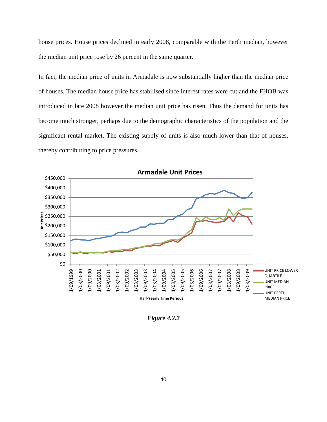house prices. House prices declined in early 2008, comparable with the Perth median, however the median unit price rose by 26 percent in the same quarter.

In fact, the median price of units in Armadale is now substantially higher than the median price of houses. The median house price has stabilised since interest rates were cut and the FHOB was introduced in late 2008 however the median unit price has risen. Thus the demand for units has become much stronger, perhaps due to the demographic characteristics of the population and the significant rental market. The existing supply of units is also much lower than that of houses, thereby contributing to price pressures.



*Figure 4.2.2*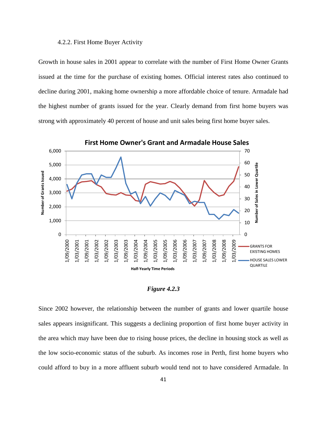### 4.2.2. First Home Buyer Activity

Growth in house sales in 2001 appear to correlate with the number of First Home Owner Grants issued at the time for the purchase of existing homes. Official interest rates also continued to decline during 2001, making home ownership a more affordable choice of tenure. Armadale had the highest number of grants issued for the year. Clearly demand from first home buyers was strong with approximately 40 percent of house and unit sales being first home buyer sales.



*Figure 4.2.3* 

Since 2002 however, the relationship between the number of grants and lower quartile house sales appears insignificant. This suggests a declining proportion of first home buyer activity in the area which may have been due to rising house prices, the decline in housing stock as well as the low socio-economic status of the suburb. As incomes rose in Perth, first home buyers who could afford to buy in a more affluent suburb would tend not to have considered Armadale. In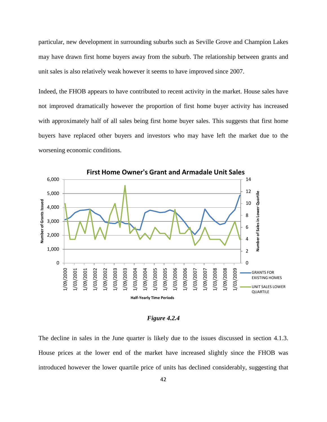particular, new development in surrounding suburbs such as Seville Grove and Champion Lakes may have drawn first home buyers away from the suburb. The relationship between grants and unit sales is also relatively weak however it seems to have improved since 2007.

Indeed, the FHOB appears to have contributed to recent activity in the market. House sales have not improved dramatically however the proportion of first home buyer activity has increased with approximately half of all sales being first home buyer sales. This suggests that first home buyers have replaced other buyers and investors who may have left the market due to the worsening economic conditions.



*Figure 4.2.4* 

The decline in sales in the June quarter is likely due to the issues discussed in section 4.1.3. House prices at the lower end of the market have increased slightly since the FHOB was introduced however the lower quartile price of units has declined considerably, suggesting that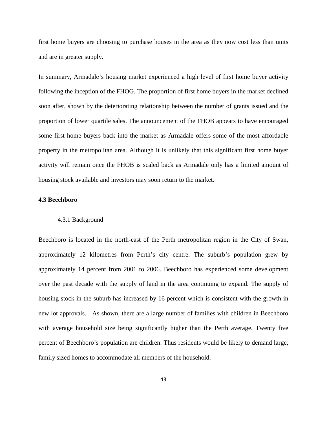first home buyers are choosing to purchase houses in the area as they now cost less than units and are in greater supply.

In summary, Armadale's housing market experienced a high level of first home buyer activity following the inception of the FHOG. The proportion of first home buyers in the market declined soon after, shown by the deteriorating relationship between the number of grants issued and the proportion of lower quartile sales. The announcement of the FHOB appears to have encouraged some first home buyers back into the market as Armadale offers some of the most affordable property in the metropolitan area. Although it is unlikely that this significant first home buyer activity will remain once the FHOB is scaled back as Armadale only has a limited amount of housing stock available and investors may soon return to the market.

## **4.3 Beechboro**

### 4.3.1 Background

Beechboro is located in the north-east of the Perth metropolitan region in the City of Swan, approximately 12 kilometres from Perth's city centre. The suburb's population grew by approximately 14 percent from 2001 to 2006. Beechboro has experienced some development over the past decade with the supply of land in the area continuing to expand. The supply of housing stock in the suburb has increased by 16 percent which is consistent with the growth in new lot approvals. As shown, there are a large number of families with children in Beechboro with average household size being significantly higher than the Perth average. Twenty five percent of Beechboro's population are children. Thus residents would be likely to demand large, family sized homes to accommodate all members of the household.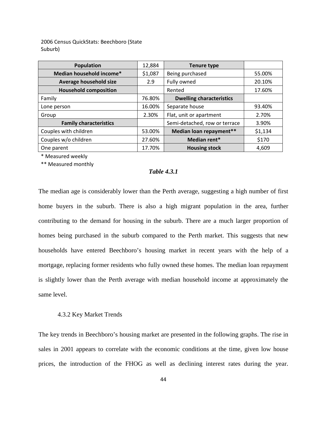2006 Census QuickStats: Beechboro (State Suburb)

| <b>Population</b>             | 12,884  | <b>Tenure type</b>              |         |
|-------------------------------|---------|---------------------------------|---------|
| Median household income*      | \$1,087 | Being purchased                 | 55.00%  |
| Average household size        | 2.9     | Fully owned                     | 20.10%  |
| <b>Household composition</b>  |         | Rented                          | 17.60%  |
| Family                        | 76.80%  | <b>Dwelling characteristics</b> |         |
| Lone person                   | 16.00%  | Separate house                  | 93.40%  |
| Group                         | 2.30%   | Flat, unit or apartment         | 2.70%   |
| <b>Family characteristics</b> |         | Semi-detached, row or terrace   | 3.90%   |
| Couples with children         | 53.00%  | Median loan repayment**         | \$1,134 |
| Couples w/o children          | 27.60%  | Median rent*                    | \$170   |
| One parent                    | 17.70%  | <b>Housing stock</b>            | 4,609   |

\* Measured weekly

\*\* Measured monthly

### *Table 4.3.1*

The median age is considerably lower than the Perth average, suggesting a high number of first home buyers in the suburb. There is also a high migrant population in the area, further contributing to the demand for housing in the suburb. There are a much larger proportion of homes being purchased in the suburb compared to the Perth market. This suggests that new households have entered Beechboro's housing market in recent years with the help of a mortgage, replacing former residents who fully owned these homes. The median loan repayment is slightly lower than the Perth average with median household income at approximately the same level.

#### 4.3.2 Key Market Trends

The key trends in Beechboro's housing market are presented in the following graphs. The rise in sales in 2001 appears to correlate with the economic conditions at the time, given low house prices, the introduction of the FHOG as well as declining interest rates during the year.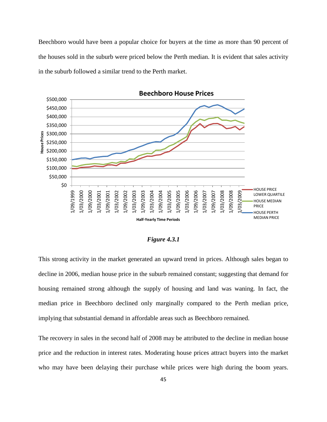Beechboro would have been a popular choice for buyers at the time as more than 90 percent of the houses sold in the suburb were priced below the Perth median. It is evident that sales activity in the suburb followed a similar trend to the Perth market.



**Beechboro House Prices**

### *Figure 4.3.1*

This strong activity in the market generated an upward trend in prices. Although sales began to decline in 2006, median house price in the suburb remained constant; suggesting that demand for housing remained strong although the supply of housing and land was waning. In fact, the median price in Beechboro declined only marginally compared to the Perth median price, implying that substantial demand in affordable areas such as Beechboro remained.

The recovery in sales in the second half of 2008 may be attributed to the decline in median house price and the reduction in interest rates. Moderating house prices attract buyers into the market who may have been delaying their purchase while prices were high during the boom years.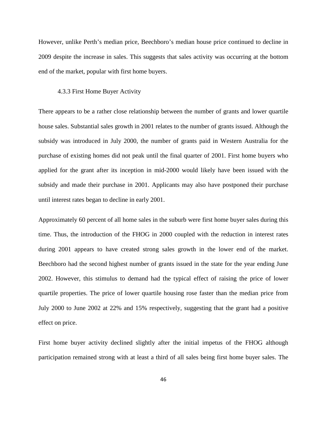However, unlike Perth's median price, Beechboro's median house price continued to decline in 2009 despite the increase in sales. This suggests that sales activity was occurring at the bottom end of the market, popular with first home buyers.

### 4.3.3 First Home Buyer Activity

There appears to be a rather close relationship between the number of grants and lower quartile house sales. Substantial sales growth in 2001 relates to the number of grants issued. Although the subsidy was introduced in July 2000, the number of grants paid in Western Australia for the purchase of existing homes did not peak until the final quarter of 2001. First home buyers who applied for the grant after its inception in mid-2000 would likely have been issued with the subsidy and made their purchase in 2001. Applicants may also have postponed their purchase until interest rates began to decline in early 2001.

Approximately 60 percent of all home sales in the suburb were first home buyer sales during this time. Thus, the introduction of the FHOG in 2000 coupled with the reduction in interest rates during 2001 appears to have created strong sales growth in the lower end of the market. Beechboro had the second highest number of grants issued in the state for the year ending June 2002. However, this stimulus to demand had the typical effect of raising the price of lower quartile properties. The price of lower quartile housing rose faster than the median price from July 2000 to June 2002 at 22% and 15% respectively, suggesting that the grant had a positive effect on price.

First home buyer activity declined slightly after the initial impetus of the FHOG although participation remained strong with at least a third of all sales being first home buyer sales. The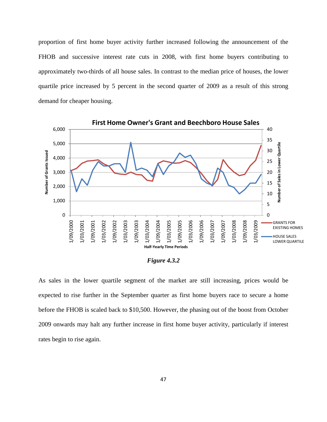proportion of first home buyer activity further increased following the announcement of the FHOB and successive interest rate cuts in 2008, with first home buyers contributing to approximately two-thirds of all house sales. In contrast to the median price of houses, the lower quartile price increased by 5 percent in the second quarter of 2009 as a result of this strong demand for cheaper housing.



*Figure 4.3.2* 

As sales in the lower quartile segment of the market are still increasing, prices would be expected to rise further in the September quarter as first home buyers race to secure a home before the FHOB is scaled back to \$10,500. However, the phasing out of the boost from October 2009 onwards may halt any further increase in first home buyer activity, particularly if interest rates begin to rise again.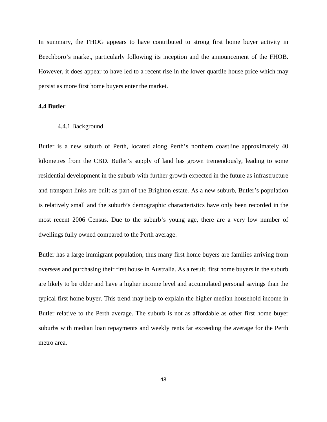In summary, the FHOG appears to have contributed to strong first home buyer activity in Beechboro's market, particularly following its inception and the announcement of the FHOB. However, it does appear to have led to a recent rise in the lower quartile house price which may persist as more first home buyers enter the market.

# **4.4 Butler**

### 4.4.1 Background

Butler is a new suburb of Perth, located along Perth's northern coastline approximately 40 kilometres from the CBD. Butler's supply of land has grown tremendously, leading to some residential development in the suburb with further growth expected in the future as infrastructure and transport links are built as part of the Brighton estate. As a new suburb, Butler's population is relatively small and the suburb's demographic characteristics have only been recorded in the most recent 2006 Census. Due to the suburb's young age, there are a very low number of dwellings fully owned compared to the Perth average.

Butler has a large immigrant population, thus many first home buyers are families arriving from overseas and purchasing their first house in Australia. As a result, first home buyers in the suburb are likely to be older and have a higher income level and accumulated personal savings than the typical first home buyer. This trend may help to explain the higher median household income in Butler relative to the Perth average. The suburb is not as affordable as other first home buyer suburbs with median loan repayments and weekly rents far exceeding the average for the Perth metro area.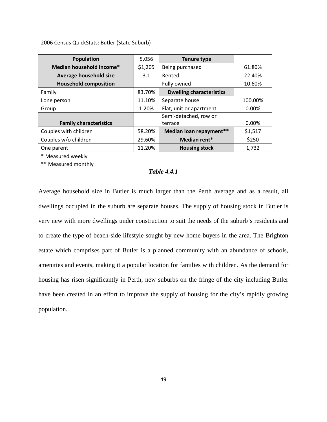2006 Census QuickStats: Butler (State Suburb)

| <b>Population</b>             | 5,056   | <b>Tenure type</b>              |         |
|-------------------------------|---------|---------------------------------|---------|
| Median household income*      | \$1,205 | Being purchased                 | 61.80%  |
| Average household size        | 3.1     | Rented                          | 22.40%  |
| <b>Household composition</b>  |         | Fully owned                     | 10.60%  |
| Family                        | 83.70%  | <b>Dwelling characteristics</b> |         |
| Lone person                   | 11.10%  | Separate house                  | 100.00% |
| Group                         | 1.20%   | Flat, unit or apartment         | 0.00%   |
|                               |         | Semi-detached, row or           |         |
| <b>Family characteristics</b> |         | terrace                         | 0.00%   |
| Couples with children         | 58.20%  | Median loan repayment**         | \$1,517 |
| Couples w/o children          | 29.60%  | Median rent*                    | \$250   |
| One parent                    | 11.20%  | <b>Housing stock</b>            | 1,732   |

\* Measured weekly

\*\* Measured monthly

## *Table 4.4.1*

Average household size in Butler is much larger than the Perth average and as a result, all dwellings occupied in the suburb are separate houses. The supply of housing stock in Butler is very new with more dwellings under construction to suit the needs of the suburb's residents and to create the type of beach-side lifestyle sought by new home buyers in the area. The Brighton estate which comprises part of Butler is a planned community with an abundance of schools, amenities and events, making it a popular location for families with children. As the demand for housing has risen significantly in Perth, new suburbs on the fringe of the city including Butler have been created in an effort to improve the supply of housing for the city's rapidly growing population.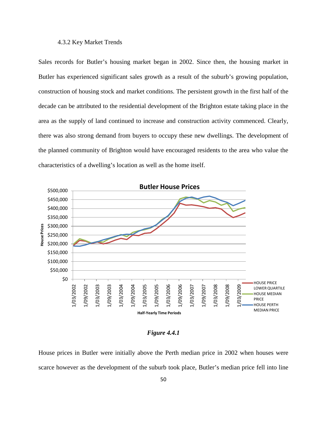### 4.3.2 Key Market Trends

Sales records for Butler's housing market began in 2002. Since then, the housing market in Butler has experienced significant sales growth as a result of the suburb's growing population, construction of housing stock and market conditions. The persistent growth in the first half of the decade can be attributed to the residential development of the Brighton estate taking place in the area as the supply of land continued to increase and construction activity commenced. Clearly, there was also strong demand from buyers to occupy these new dwellings. The development of the planned community of Brighton would have encouraged residents to the area who value the characteristics of a dwelling's location as well as the home itself.



*Figure 4.4.1* 

House prices in Butler were initially above the Perth median price in 2002 when houses were scarce however as the development of the suburb took place, Butler's median price fell into line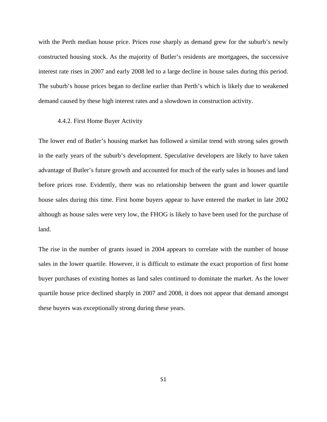with the Perth median house price. Prices rose sharply as demand grew for the suburb's newly constructed housing stock. As the majority of Butler's residents are mortgagees, the successive interest rate rises in 2007 and early 2008 led to a large decline in house sales during this period. The suburb's house prices began to decline earlier than Perth's which is likely due to weakened demand caused by these high interest rates and a slowdown in construction activity.

### 4.4.2. First Home Buyer Activity

The lower end of Butler's housing market has followed a similar trend with strong sales growth in the early years of the suburb's development. Speculative developers are likely to have taken advantage of Butler's future growth and accounted for much of the early sales in houses and land before prices rose. Evidently, there was no relationship between the grant and lower quartile house sales during this time. First home buyers appear to have entered the market in late 2002 although as house sales were very low, the FHOG is likely to have been used for the purchase of land.

The rise in the number of grants issued in 2004 appears to correlate with the number of house sales in the lower quartile. However, it is difficult to estimate the exact proportion of first home buyer purchases of existing homes as land sales continued to dominate the market. As the lower quartile house price declined sharply in 2007 and 2008, it does not appear that demand amongst these buyers was exceptionally strong during these years.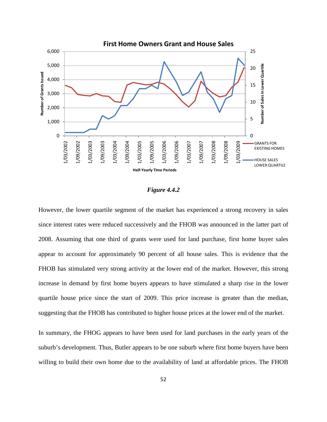

#### *Figure 4.4.2*

However, the lower quartile segment of the market has experienced a strong recovery in sales since interest rates were reduced successively and the FHOB was announced in the latter part of 2008. Assuming that one third of grants were used for land purchase, first home buyer sales appear to account for approximately 90 percent of all house sales. This is evidence that the FHOB has stimulated very strong activity at the lower end of the market. However, this strong increase in demand by first home buyers appears to have stimulated a sharp rise in the lower quartile house price since the start of 2009. This price increase is greater than the median, suggesting that the FHOB has contributed to higher house prices at the lower end of the market.

In summary, the FHOG appears to have been used for land purchases in the early years of the suburb's development. Thus, Butler appears to be one suburb where first home buyers have been willing to build their own home due to the availability of land at affordable prices. The FHOB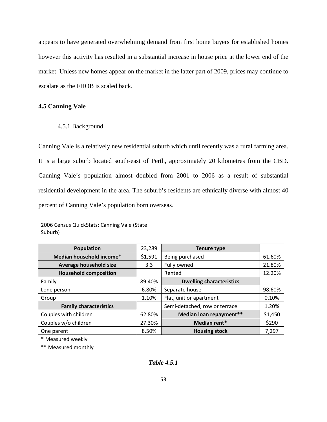appears to have generated overwhelming demand from first home buyers for established homes however this activity has resulted in a substantial increase in house price at the lower end of the market. Unless new homes appear on the market in the latter part of 2009, prices may continue to escalate as the FHOB is scaled back.

# **4.5 Canning Vale**

4.5.1 Background

Canning Vale is a relatively new residential suburb which until recently was a rural farming area. It is a large suburb located south-east of Perth, approximately 20 kilometres from the CBD. Canning Vale's population almost doubled from 2001 to 2006 as a result of substantial residential development in the area. The suburb's residents are ethnically diverse with almost 40 percent of Canning Vale's population born overseas.

<sup>2006</sup> Census QuickStats: Canning Vale (State Suburb)

| <b>Population</b>             | 23,289           | <b>Tenure type</b>              |         |
|-------------------------------|------------------|---------------------------------|---------|
| Median household income*      | \$1,591          | Being purchased                 | 61.60%  |
| Average household size        | 3.3 <sub>2</sub> | Fully owned                     | 21.80%  |
| <b>Household composition</b>  |                  | Rented                          | 12.20%  |
| Family                        | 89.40%           | <b>Dwelling characteristics</b> |         |
| Lone person                   | 6.80%            | Separate house                  | 98.60%  |
| Group                         | 1.10%            | Flat, unit or apartment         | 0.10%   |
| <b>Family characteristics</b> |                  | Semi-detached, row or terrace   | 1.20%   |
| Couples with children         | 62.80%           | Median loan repayment**         | \$1,450 |
| Couples w/o children          | 27.30%           | Median rent*                    | \$290   |
| One parent                    | 8.50%            | <b>Housing stock</b>            | 7,297   |

\* Measured weekly

\*\* Measured monthly

*Table 4.5.1*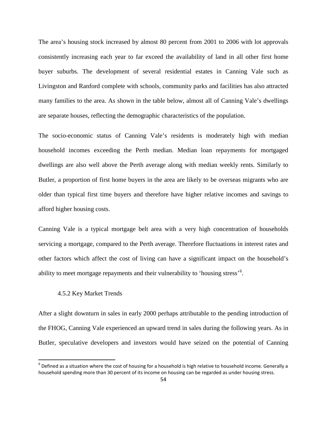The area's housing stock increased by almost 80 percent from 2001 to 2006 with lot approvals consistently increasing each year to far exceed the availability of land in all other first home buyer suburbs. The development of several residential estates in Canning Vale such as Livingston and Ranford complete with schools, community parks and facilities has also attracted many families to the area. As shown in the table below, almost all of Canning Vale's dwellings are separate houses, reflecting the demographic characteristics of the population.

The socio-economic status of Canning Vale's residents is moderately high with median household incomes exceeding the Perth median. Median loan repayments for mortgaged dwellings are also well above the Perth average along with median weekly rents. Similarly to Butler, a proportion of first home buyers in the area are likely to be overseas migrants who are older than typical first time buyers and therefore have higher relative incomes and savings to afford higher housing costs.

Canning Vale is a typical mortgage belt area with a very high concentration of households servicing a mortgage, compared to the Perth average. Therefore fluctuations in interest rates and other factors which affect the cost of living can have a significant impact on the household's ability to meet mortgage repayments and their vulnerability to 'housing stress'<sup>[6](#page-68-0)</sup>.

### 4.5.2 Key Market Trends

ı

After a slight downturn in sales in early 2000 perhaps attributable to the pending introduction of the FHOG, Canning Vale experienced an upward trend in sales during the following years. As in Butler, speculative developers and investors would have seized on the potential of Canning

<span id="page-68-0"></span> $6$  Defined as a situation where the cost of housing for a household is high relative to household income. Generally a household spending more than 30 percent of its income on housing can be regarded as under housing stress.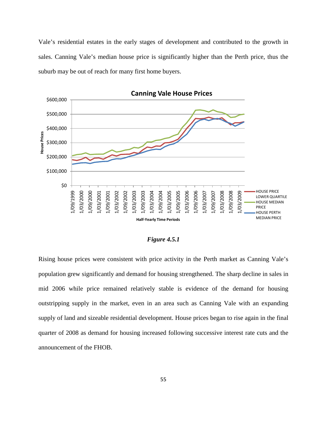Vale's residential estates in the early stages of development and contributed to the growth in sales. Canning Vale's median house price is significantly higher than the Perth price, thus the suburb may be out of reach for many first home buyers.



### *Figure 4.5.1*

Rising house prices were consistent with price activity in the Perth market as Canning Vale's population grew significantly and demand for housing strengthened. The sharp decline in sales in mid 2006 while price remained relatively stable is evidence of the demand for housing outstripping supply in the market, even in an area such as Canning Vale with an expanding supply of land and sizeable residential development. House prices began to rise again in the final quarter of 2008 as demand for housing increased following successive interest rate cuts and the announcement of the FHOB.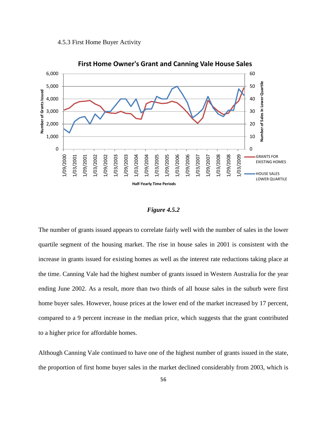



#### *Figure 4.5.2*

The number of grants issued appears to correlate fairly well with the number of sales in the lower quartile segment of the housing market. The rise in house sales in 2001 is consistent with the increase in grants issued for existing homes as well as the interest rate reductions taking place at the time. Canning Vale had the highest number of grants issued in Western Australia for the year ending June 2002. As a result, more than two thirds of all house sales in the suburb were first home buyer sales. However, house prices at the lower end of the market increased by 17 percent, compared to a 9 percent increase in the median price, which suggests that the grant contributed to a higher price for affordable homes.

Although Canning Vale continued to have one of the highest number of grants issued in the state, the proportion of first home buyer sales in the market declined considerably from 2003, which is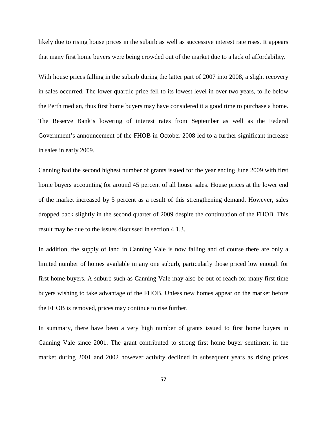likely due to rising house prices in the suburb as well as successive interest rate rises. It appears that many first home buyers were being crowded out of the market due to a lack of affordability.

With house prices falling in the suburb during the latter part of 2007 into 2008, a slight recovery in sales occurred. The lower quartile price fell to its lowest level in over two years, to lie below the Perth median, thus first home buyers may have considered it a good time to purchase a home. The Reserve Bank's lowering of interest rates from September as well as the Federal Government's announcement of the FHOB in October 2008 led to a further significant increase in sales in early 2009.

Canning had the second highest number of grants issued for the year ending June 2009 with first home buyers accounting for around 45 percent of all house sales. House prices at the lower end of the market increased by 5 percent as a result of this strengthening demand. However, sales dropped back slightly in the second quarter of 2009 despite the continuation of the FHOB. This result may be due to the issues discussed in section 4.1.3.

In addition, the supply of land in Canning Vale is now falling and of course there are only a limited number of homes available in any one suburb, particularly those priced low enough for first home buyers. A suburb such as Canning Vale may also be out of reach for many first time buyers wishing to take advantage of the FHOB. Unless new homes appear on the market before the FHOB is removed, prices may continue to rise further.

In summary, there have been a very high number of grants issued to first home buyers in Canning Vale since 2001. The grant contributed to strong first home buyer sentiment in the market during 2001 and 2002 however activity declined in subsequent years as rising prices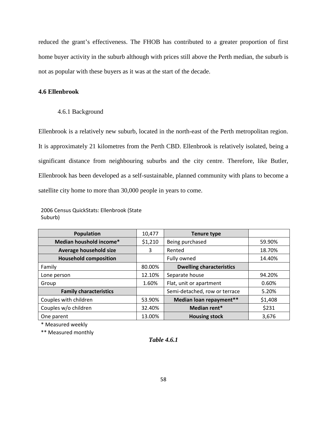reduced the grant's effectiveness. The FHOB has contributed to a greater proportion of first home buyer activity in the suburb although with prices still above the Perth median, the suburb is not as popular with these buyers as it was at the start of the decade.

## **4.6 Ellenbrook**

4.6.1 Background

Ellenbrook is a relatively new suburb, located in the north-east of the Perth metropolitan region. It is approximately 21 kilometres from the Perth CBD. Ellenbrook is relatively isolated, being a significant distance from neighbouring suburbs and the city centre. Therefore, like Butler, Ellenbrook has been developed as a self-sustainable, planned community with plans to become a satellite city home to more than 30,000 people in years to come.

2006 Census QuickStats: Ellenbrook (State Suburb)

| <b>Population</b>             | 10,477                           | <b>Tenure type</b>                 |        |
|-------------------------------|----------------------------------|------------------------------------|--------|
| Median houshold income*       | \$1,210<br>Being purchased       |                                    | 59.90% |
| Average household size        | 3<br>Rented                      |                                    | 18.70% |
| <b>Household composition</b>  | Fully owned                      |                                    | 14.40% |
| Family                        | 80.00%                           | <b>Dwelling characteristics</b>    |        |
| Lone person                   | Separate house<br>12.10%         |                                    | 94.20% |
| Group                         | Flat, unit or apartment<br>1.60% |                                    | 0.60%  |
| <b>Family characteristics</b> |                                  | Semi-detached, row or terrace      | 5.20%  |
| Couples with children         | 53.90%                           | Median loan repayment**<br>\$1,408 |        |
| Couples w/o children          | 32.40%                           | Median rent*<br>\$231              |        |
| One parent                    | 13.00%                           | <b>Housing stock</b>               | 3,676  |

\* Measured weekly

\*\* Measured monthly

*Table 4.6.1*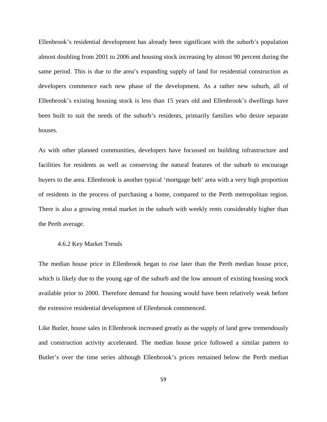Ellenbrook's residential development has already been significant with the suburb's population almost doubling from 2001 to 2006 and housing stock increasing by almost 90 percent during the same period. This is due to the area's expanding supply of land for residential construction as developers commence each new phase of the development. As a rather new suburb, all of Ellenbrook's existing housing stock is less than 15 years old and Ellenbrook's dwellings have been built to suit the needs of the suburb's residents, primarily families who desire separate houses.

As with other planned communities, developers have focussed on building infrastructure and facilities for residents as well as conserving the natural features of the suburb to encourage buyers to the area. Ellenbrook is another typical 'mortgage belt' area with a very high proportion of residents in the process of purchasing a home, compared to the Perth metropolitan region. There is also a growing rental market in the suburb with weekly rents considerably higher than the Perth average.

#### 4.6.2 Key Market Trends

The median house price in Ellenbrook began to rise later than the Perth median house price, which is likely due to the young age of the suburb and the low amount of existing housing stock available prior to 2000. Therefore demand for housing would have been relatively weak before the extensive residential development of Ellenbrook commenced.

Like Butler, house sales in Ellenbrook increased greatly as the supply of land grew tremendously and construction activity accelerated. The median house price followed a similar pattern to Butler's over the time series although Ellenbrook's prices remained below the Perth median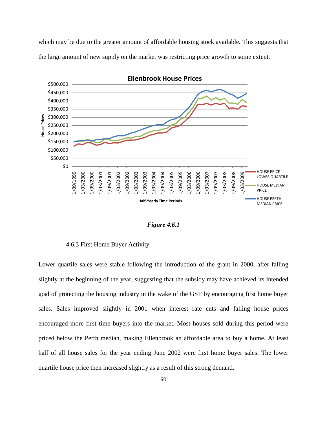which may be due to the greater amount of affordable housing stock available. This suggests that the large amount of new supply on the market was restricting price growth to some extent.



*Figure 4.6.1* 

4.6.3 First Home Buyer Activity

Lower quartile sales were stable following the introduction of the grant in 2000, after falling slightly at the beginning of the year, suggesting that the subsidy may have achieved its intended goal of protecting the housing industry in the wake of the GST by encouraging first home buyer sales. Sales improved slightly in 2001 when interest rate cuts and falling house prices encouraged more first time buyers into the market. Most houses sold during this period were priced below the Perth median, making Ellenbrook an affordable area to buy a home. At least half of all house sales for the year ending June 2002 were first home buyer sales. The lower quartile house price then increased slightly as a result of this strong demand.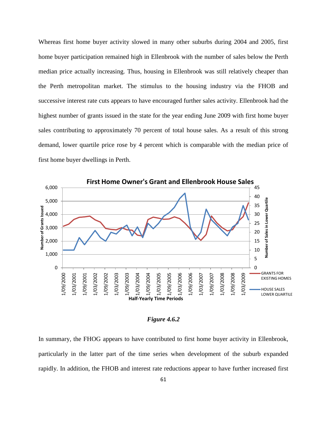Whereas first home buyer activity slowed in many other suburbs during 2004 and 2005, first home buyer participation remained high in Ellenbrook with the number of sales below the Perth median price actually increasing. Thus, housing in Ellenbrook was still relatively cheaper than the Perth metropolitan market. The stimulus to the housing industry via the FHOB and successive interest rate cuts appears to have encouraged further sales activity. Ellenbrook had the highest number of grants issued in the state for the year ending June 2009 with first home buyer sales contributing to approximately 70 percent of total house sales. As a result of this strong demand, lower quartile price rose by 4 percent which is comparable with the median price of first home buyer dwellings in Perth.



#### *Figure 4.6.2*

In summary, the FHOG appears to have contributed to first home buyer activity in Ellenbrook, particularly in the latter part of the time series when development of the suburb expanded rapidly. In addition, the FHOB and interest rate reductions appear to have further increased first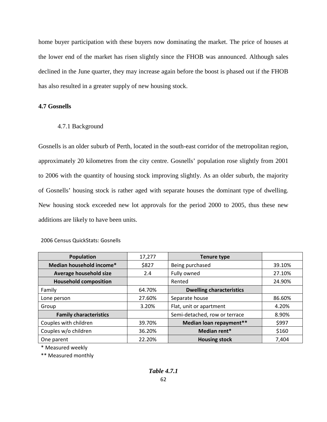home buyer participation with these buyers now dominating the market. The price of houses at the lower end of the market has risen slightly since the FHOB was announced. Although sales declined in the June quarter, they may increase again before the boost is phased out if the FHOB has also resulted in a greater supply of new housing stock.

## **4.7 Gosnells**

# 4.7.1 Background

Gosnells is an older suburb of Perth, located in the south-east corridor of the metropolitan region, approximately 20 kilometres from the city centre. Gosnells' population rose slightly from 2001 to 2006 with the quantity of housing stock improving slightly. As an older suburb, the majority of Gosnells' housing stock is rather aged with separate houses the dominant type of dwelling. New housing stock exceeded new lot approvals for the period 2000 to 2005, thus these new additions are likely to have been units.

| Population                    | 17,277 | <b>Tenure type</b>              |        |
|-------------------------------|--------|---------------------------------|--------|
| Median household income*      | \$827  | Being purchased                 | 39.10% |
| Average household size        | 2.4    | Fully owned                     | 27.10% |
| <b>Household composition</b>  |        | Rented                          | 24.90% |
| Family                        | 64.70% | <b>Dwelling characteristics</b> |        |
| Lone person                   | 27.60% | Separate house                  | 86.60% |
| Group                         | 3.20%  | Flat, unit or apartment         | 4.20%  |
| <b>Family characteristics</b> |        | Semi-detached, row or terrace   | 8.90%  |
| Couples with children         | 39.70% | Median loan repayment**         | \$997  |
| Couples w/o children          | 36.20% | Median rent*                    | \$160  |
| One parent                    | 22.20% | <b>Housing stock</b>            | 7,404  |

### 2006 Census QuickStats: Gosnells

\* Measured weekly

\*\* Measured monthly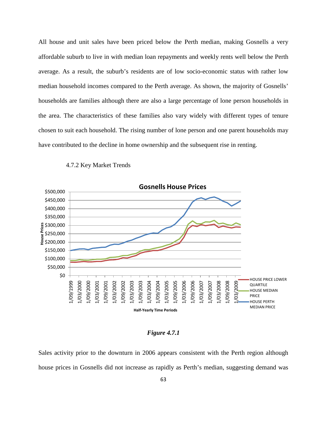All house and unit sales have been priced below the Perth median, making Gosnells a very affordable suburb to live in with median loan repayments and weekly rents well below the Perth average. As a result, the suburb's residents are of low socio-economic status with rather low median household incomes compared to the Perth average. As shown, the majority of Gosnells' households are families although there are also a large percentage of lone person households in the area. The characteristics of these families also vary widely with different types of tenure chosen to suit each household. The rising number of lone person and one parent households may have contributed to the decline in home ownership and the subsequent rise in renting.



4.7.2 Key Market Trends

### *Figure 4.7.1*

Sales activity prior to the downturn in 2006 appears consistent with the Perth region although house prices in Gosnells did not increase as rapidly as Perth's median, suggesting demand was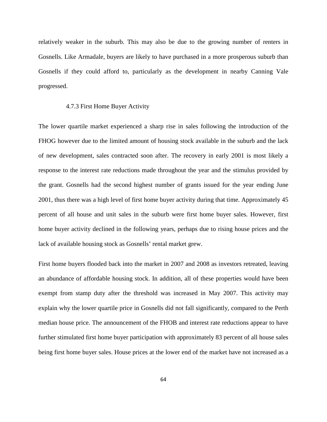relatively weaker in the suburb. This may also be due to the growing number of renters in Gosnells. Like Armadale, buyers are likely to have purchased in a more prosperous suburb than Gosnells if they could afford to, particularly as the development in nearby Canning Vale progressed.

#### 4.7.3 First Home Buyer Activity

The lower quartile market experienced a sharp rise in sales following the introduction of the FHOG however due to the limited amount of housing stock available in the suburb and the lack of new development, sales contracted soon after. The recovery in early 2001 is most likely a response to the interest rate reductions made throughout the year and the stimulus provided by the grant. Gosnells had the second highest number of grants issued for the year ending June 2001, thus there was a high level of first home buyer activity during that time. Approximately 45 percent of all house and unit sales in the suburb were first home buyer sales. However, first home buyer activity declined in the following years, perhaps due to rising house prices and the lack of available housing stock as Gosnells' rental market grew.

First home buyers flooded back into the market in 2007 and 2008 as investors retreated, leaving an abundance of affordable housing stock. In addition, all of these properties would have been exempt from stamp duty after the threshold was increased in May 2007. This activity may explain why the lower quartile price in Gosnells did not fall significantly, compared to the Perth median house price. The announcement of the FHOB and interest rate reductions appear to have further stimulated first home buyer participation with approximately 83 percent of all house sales being first home buyer sales. House prices at the lower end of the market have not increased as a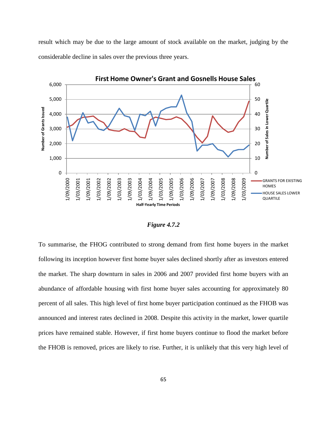result which may be due to the large amount of stock available on the market, judging by the considerable decline in sales over the previous three years.



*Figure 4.7.2* 

To summarise, the FHOG contributed to strong demand from first home buyers in the market following its inception however first home buyer sales declined shortly after as investors entered the market. The sharp downturn in sales in 2006 and 2007 provided first home buyers with an abundance of affordable housing with first home buyer sales accounting for approximately 80 percent of all sales. This high level of first home buyer participation continued as the FHOB was announced and interest rates declined in 2008. Despite this activity in the market, lower quartile prices have remained stable. However, if first home buyers continue to flood the market before the FHOB is removed, prices are likely to rise. Further, it is unlikely that this very high level of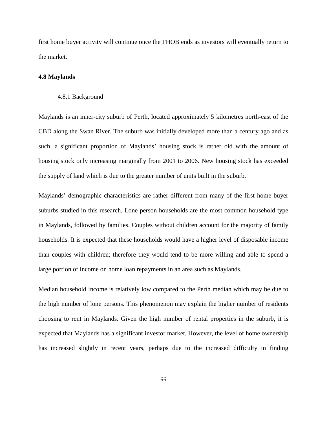first home buyer activity will continue once the FHOB ends as investors will eventually return to the market.

#### **4.8 Maylands**

#### 4.8.1 Background

Maylands is an inner-city suburb of Perth, located approximately 5 kilometres north-east of the CBD along the Swan River. The suburb was initially developed more than a century ago and as such, a significant proportion of Maylands' housing stock is rather old with the amount of housing stock only increasing marginally from 2001 to 2006. New housing stock has exceeded the supply of land which is due to the greater number of units built in the suburb.

Maylands' demographic characteristics are rather different from many of the first home buyer suburbs studied in this research. Lone person households are the most common household type in Maylands, followed by families. Couples without children account for the majority of family households. It is expected that these households would have a higher level of disposable income than couples with children; therefore they would tend to be more willing and able to spend a large portion of income on home loan repayments in an area such as Maylands.

Median household income is relatively low compared to the Perth median which may be due to the high number of lone persons. This phenomenon may explain the higher number of residents choosing to rent in Maylands. Given the high number of rental properties in the suburb, it is expected that Maylands has a significant investor market. However, the level of home ownership has increased slightly in recent years, perhaps due to the increased difficulty in finding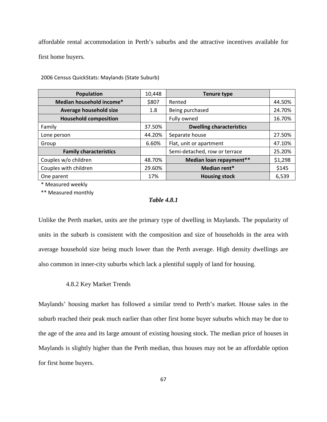affordable rental accommodation in Perth's suburbs and the attractive incentives available for first home buyers.

| <b>Population</b>             | 10,448                 | <b>Tenure type</b>              |         |
|-------------------------------|------------------------|---------------------------------|---------|
| Median household income*      | \$807<br>Rented        |                                 | 44.50%  |
| Average household size        | Being purchased<br>1.8 |                                 | 24.70%  |
| <b>Household composition</b>  |                        | Fully owned                     | 16.70%  |
| Family                        | 37.50%                 | <b>Dwelling characteristics</b> |         |
| Lone person                   | 44.20%                 | Separate house                  | 27.50%  |
| Group                         | 6.60%                  | Flat, unit or apartment         | 47.10%  |
| <b>Family characteristics</b> |                        | Semi-detached, row or terrace   | 25.20%  |
| Couples w/o children          | 48.70%                 | Median loan repayment**         | \$1,298 |
| Couples with children         | 29.60%                 | Median rent*                    | \$145   |
| One parent                    | 17%                    | <b>Housing stock</b>            | 6,539   |

2006 Census QuickStats: Maylands (State Suburb)

\* Measured weekly

\*\* Measured monthly

## *Table 4.8.1*

Unlike the Perth market, units are the primary type of dwelling in Maylands. The popularity of units in the suburb is consistent with the composition and size of households in the area with average household size being much lower than the Perth average. High density dwellings are also common in inner-city suburbs which lack a plentiful supply of land for housing.

#### 4.8.2 Key Market Trends

Maylands' housing market has followed a similar trend to Perth's market. House sales in the suburb reached their peak much earlier than other first home buyer suburbs which may be due to the age of the area and its large amount of existing housing stock. The median price of houses in Maylands is slightly higher than the Perth median, thus houses may not be an affordable option for first home buyers.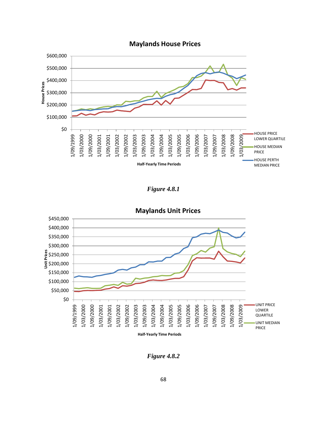

# **Maylands House Prices**

*Figure 4.8.1* 



*Figure 4.8.2*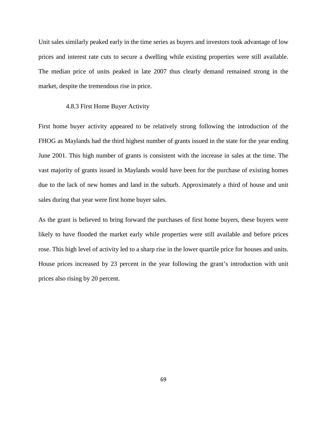Unit sales similarly peaked early in the time series as buyers and investors took advantage of low prices and interest rate cuts to secure a dwelling while existing properties were still available. The median price of units peaked in late 2007 thus clearly demand remained strong in the market, despite the tremendous rise in price.

### 4.8.3 First Home Buyer Activity

First home buyer activity appeared to be relatively strong following the introduction of the FHOG as Maylands had the third highest number of grants issued in the state for the year ending June 2001. This high number of grants is consistent with the increase in sales at the time. The vast majority of grants issued in Maylands would have been for the purchase of existing homes due to the lack of new homes and land in the suburb. Approximately a third of house and unit sales during that year were first home buyer sales.

As the grant is believed to bring forward the purchases of first home buyers, these buyers were likely to have flooded the market early while properties were still available and before prices rose. This high level of activity led to a sharp rise in the lower quartile price for houses and units. House prices increased by 23 percent in the year following the grant's introduction with unit prices also rising by 20 percent.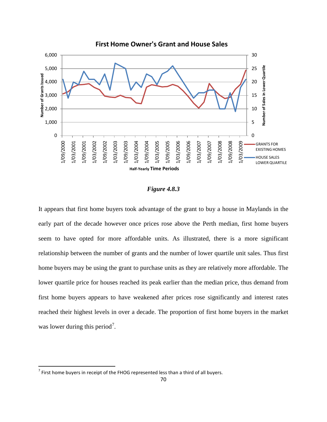

### *Figure 4.8.3*

It appears that first home buyers took advantage of the grant to buy a house in Maylands in the early part of the decade however once prices rose above the Perth median, first home buyers seem to have opted for more affordable units. As illustrated, there is a more significant relationship between the number of grants and the number of lower quartile unit sales. Thus first home buyers may be using the grant to purchase units as they are relatively more affordable. The lower quartile price for houses reached its peak earlier than the median price, thus demand from first home buyers appears to have weakened after prices rose significantly and interest rates reached their highest levels in over a decade. The proportion of first home buyers in the market was lower during this period<sup>[7](#page-84-0)</sup>.

ı

<span id="page-84-0"></span> $<sup>7</sup>$  First home buyers in receipt of the FHOG represented less than a third of all buyers.</sup>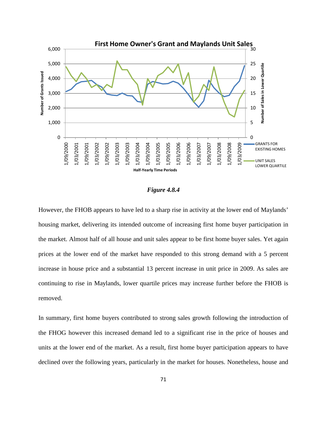

#### *Figure 4.8.4*

However, the FHOB appears to have led to a sharp rise in activity at the lower end of Maylands' housing market, delivering its intended outcome of increasing first home buyer participation in the market. Almost half of all house and unit sales appear to be first home buyer sales. Yet again prices at the lower end of the market have responded to this strong demand with a 5 percent increase in house price and a substantial 13 percent increase in unit price in 2009. As sales are continuing to rise in Maylands, lower quartile prices may increase further before the FHOB is removed.

In summary, first home buyers contributed to strong sales growth following the introduction of the FHOG however this increased demand led to a significant rise in the price of houses and units at the lower end of the market. As a result, first home buyer participation appears to have declined over the following years, particularly in the market for houses. Nonetheless, house and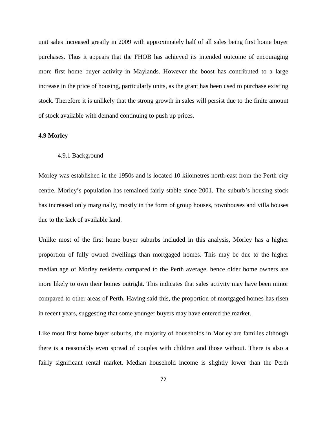unit sales increased greatly in 2009 with approximately half of all sales being first home buyer purchases. Thus it appears that the FHOB has achieved its intended outcome of encouraging more first home buyer activity in Maylands. However the boost has contributed to a large increase in the price of housing, particularly units, as the grant has been used to purchase existing stock. Therefore it is unlikely that the strong growth in sales will persist due to the finite amount of stock available with demand continuing to push up prices.

#### **4.9 Morley**

#### 4.9.1 Background

Morley was established in the 1950s and is located 10 kilometres north-east from the Perth city centre. Morley's population has remained fairly stable since 2001. The suburb's housing stock has increased only marginally, mostly in the form of group houses, townhouses and villa houses due to the lack of available land.

Unlike most of the first home buyer suburbs included in this analysis, Morley has a higher proportion of fully owned dwellings than mortgaged homes. This may be due to the higher median age of Morley residents compared to the Perth average, hence older home owners are more likely to own their homes outright. This indicates that sales activity may have been minor compared to other areas of Perth. Having said this, the proportion of mortgaged homes has risen in recent years, suggesting that some younger buyers may have entered the market.

Like most first home buyer suburbs, the majority of households in Morley are families although there is a reasonably even spread of couples with children and those without. There is also a fairly significant rental market. Median household income is slightly lower than the Perth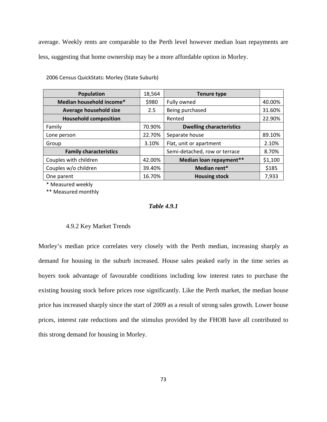average. Weekly rents are comparable to the Perth level however median loan repayments are less, suggesting that home ownership may be a more affordable option in Morley.

| <b>Population</b>             | 18,564                 | <b>Tenure type</b>              |         |
|-------------------------------|------------------------|---------------------------------|---------|
| Median household income*      | \$980<br>Fully owned   |                                 | 40.00%  |
| Average household size        | Being purchased<br>2.5 |                                 | 31.60%  |
| <b>Household composition</b>  |                        | Rented                          | 22.90%  |
| Family                        | 70.90%                 | <b>Dwelling characteristics</b> |         |
| Lone person                   | 22.70%                 | Separate house                  | 89.10%  |
| Group                         | 3.10%                  | Flat, unit or apartment         | 2.10%   |
| <b>Family characteristics</b> |                        | Semi-detached, row or terrace   | 8.70%   |
| Couples with children         | 42.00%                 | Median loan repayment**         | \$1,100 |
| Couples w/o children          | 39.40%                 | Median rent*                    | \$185   |
| One parent                    | 16.70%                 | <b>Housing stock</b>            | 7,933   |

2006 Census QuickStats: Morley (State Suburb)

\* Measured weekly

\*\* Measured monthly

# *Table 4.9.1*

# 4.9.2 Key Market Trends

Morley's median price correlates very closely with the Perth median, increasing sharply as demand for housing in the suburb increased. House sales peaked early in the time series as buyers took advantage of favourable conditions including low interest rates to purchase the existing housing stock before prices rose significantly. Like the Perth market, the median house price has increased sharply since the start of 2009 as a result of strong sales growth. Lower house prices, interest rate reductions and the stimulus provided by the FHOB have all contributed to this strong demand for housing in Morley.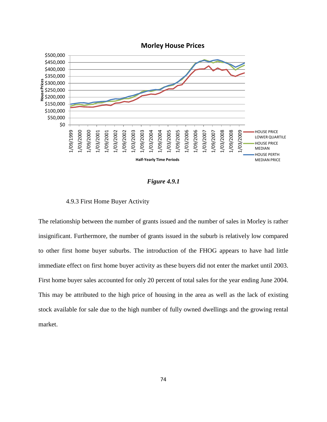

#### *Figure 4.9.1*

#### 4.9.3 First Home Buyer Activity

The relationship between the number of grants issued and the number of sales in Morley is rather insignificant. Furthermore, the number of grants issued in the suburb is relatively low compared to other first home buyer suburbs. The introduction of the FHOG appears to have had little immediate effect on first home buyer activity as these buyers did not enter the market until 2003. First home buyer sales accounted for only 20 percent of total sales for the year ending June 2004. This may be attributed to the high price of housing in the area as well as the lack of existing stock available for sale due to the high number of fully owned dwellings and the growing rental market.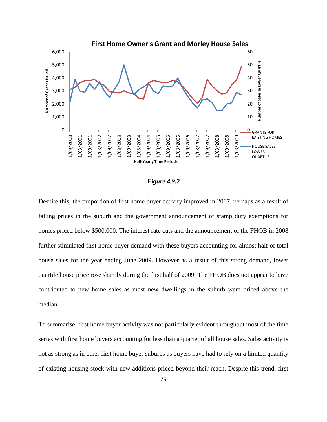

#### *Figure 4.9.2*

Despite this, the proportion of first home buyer activity improved in 2007, perhaps as a result of falling prices in the suburb and the government announcement of stamp duty exemptions for homes priced below \$500,000. The interest rate cuts and the announcement of the FHOB in 2008 further stimulated first home buyer demand with these buyers accounting for almost half of total house sales for the year ending June 2009. However as a result of this strong demand, lower quartile house price rose sharply during the first half of 2009. The FHOB does not appear to have contributed to new home sales as most new dwellings in the suburb were priced above the median.

To summarise, first home buyer activity was not particularly evident throughout most of the time series with first home buyers accounting for less than a quarter of all house sales. Sales activity is not as strong as in other first home buyer suburbs as buyers have had to rely on a limited quantity of existing housing stock with new additions priced beyond their reach. Despite this trend, first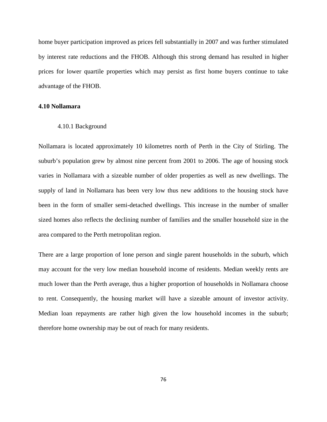home buyer participation improved as prices fell substantially in 2007 and was further stimulated by interest rate reductions and the FHOB. Although this strong demand has resulted in higher prices for lower quartile properties which may persist as first home buyers continue to take advantage of the FHOB.

#### **4.10 Nollamara**

#### 4.10.1 Background

Nollamara is located approximately 10 kilometres north of Perth in the City of Stirling. The suburb's population grew by almost nine percent from 2001 to 2006. The age of housing stock varies in Nollamara with a sizeable number of older properties as well as new dwellings. The supply of land in Nollamara has been very low thus new additions to the housing stock have been in the form of smaller semi-detached dwellings. This increase in the number of smaller sized homes also reflects the declining number of families and the smaller household size in the area compared to the Perth metropolitan region.

There are a large proportion of lone person and single parent households in the suburb, which may account for the very low median household income of residents. Median weekly rents are much lower than the Perth average, thus a higher proportion of households in Nollamara choose to rent. Consequently, the housing market will have a sizeable amount of investor activity. Median loan repayments are rather high given the low household incomes in the suburb; therefore home ownership may be out of reach for many residents.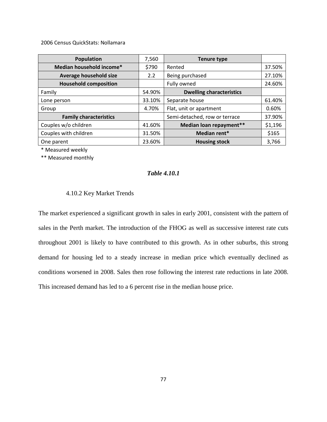2006 Census QuickStats: Nollamara

| <b>Population</b>             | 7,560  | <b>Tenure type</b>              |         |
|-------------------------------|--------|---------------------------------|---------|
| Median household income*      | \$790  | Rented                          | 37.50%  |
| Average household size        | 2.2    | Being purchased                 | 27.10%  |
| <b>Household composition</b>  |        | Fully owned                     | 24.60%  |
| Family                        | 54.90% | <b>Dwelling characteristics</b> |         |
| Lone person                   | 33.10% | Separate house                  | 61.40%  |
| Group                         | 4.70%  | Flat, unit or apartment         | 0.60%   |
| <b>Family characteristics</b> |        | Semi-detached, row or terrace   | 37.90%  |
| Couples w/o children          | 41.60% | Median loan repayment**         | \$1,196 |
| Couples with children         | 31.50% | Median rent*                    | \$165   |
| One parent                    | 23.60% | <b>Housing stock</b>            | 3,766   |

\* Measured weekly

\*\* Measured monthly

## *Table 4.10.1*

## 4.10.2 Key Market Trends

The market experienced a significant growth in sales in early 2001, consistent with the pattern of sales in the Perth market. The introduction of the FHOG as well as successive interest rate cuts throughout 2001 is likely to have contributed to this growth. As in other suburbs, this strong demand for housing led to a steady increase in median price which eventually declined as conditions worsened in 2008. Sales then rose following the interest rate reductions in late 2008. This increased demand has led to a 6 percent rise in the median house price.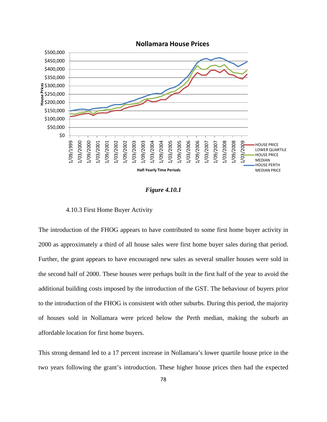

## **Nollamara House Prices**

### *Figure 4.10.1*

#### 4.10.3 First Home Buyer Activity

The introduction of the FHOG appears to have contributed to some first home buyer activity in 2000 as approximately a third of all house sales were first home buyer sales during that period. Further, the grant appears to have encouraged new sales as several smaller houses were sold in the second half of 2000. These houses were perhaps built in the first half of the year to avoid the additional building costs imposed by the introduction of the GST. The behaviour of buyers prior to the introduction of the FHOG is consistent with other suburbs. During this period, the majority of houses sold in Nollamara were priced below the Perth median, making the suburb an affordable location for first home buyers.

This strong demand led to a 17 percent increase in Nollamara's lower quartile house price in the two years following the grant's introduction. These higher house prices then had the expected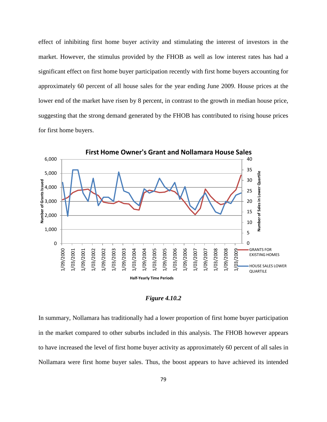effect of inhibiting first home buyer activity and stimulating the interest of investors in the market. However, the stimulus provided by the FHOB as well as low interest rates has had a significant effect on first home buyer participation recently with first home buyers accounting for approximately 60 percent of all house sales for the year ending June 2009. House prices at the lower end of the market have risen by 8 percent, in contrast to the growth in median house price, suggesting that the strong demand generated by the FHOB has contributed to rising house prices for first home buyers.



*Figure 4.10.2* 

In summary, Nollamara has traditionally had a lower proportion of first home buyer participation in the market compared to other suburbs included in this analysis. The FHOB however appears to have increased the level of first home buyer activity as approximately 60 percent of all sales in Nollamara were first home buyer sales. Thus, the boost appears to have achieved its intended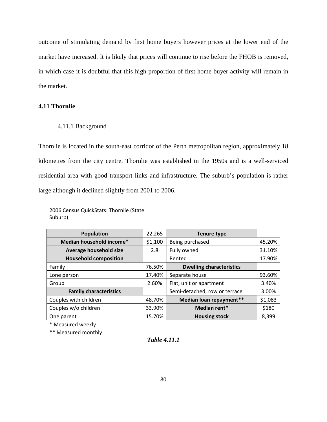outcome of stimulating demand by first home buyers however prices at the lower end of the market have increased. It is likely that prices will continue to rise before the FHOB is removed, in which case it is doubtful that this high proportion of first home buyer activity will remain in the market.

## **4.11 Thornlie**

## 4.11.1 Background

Thornlie is located in the south-east corridor of the Perth metropolitan region, approximately 18 kilometres from the city centre. Thornlie was established in the 1950s and is a well-serviced residential area with good transport links and infrastructure. The suburb's population is rather large although it declined slightly from 2001 to 2006.

<sup>2006</sup> Census QuickStats: Thornlie (State Suburb)

| <b>Population</b>             | 22,265  | <b>Tenure type</b>              |         |
|-------------------------------|---------|---------------------------------|---------|
| Median household income*      | \$1,100 | Being purchased                 | 45.20%  |
| Average household size        | 2.8     | Fully owned                     | 31.10%  |
| <b>Household composition</b>  |         | Rented                          | 17.90%  |
| Family                        | 76.50%  | <b>Dwelling characteristics</b> |         |
| Lone person                   | 17.40%  | Separate house                  | 93.60%  |
| Group                         | 2.60%   | Flat, unit or apartment         | 3.40%   |
| <b>Family characteristics</b> |         | Semi-detached, row or terrace   | 3.00%   |
| Couples with children         | 48.70%  | Median loan repayment**         | \$1,083 |
| Couples w/o children          | 33.90%  | Median rent*                    | \$180   |
| One parent                    | 15.70%  | <b>Housing stock</b>            | 8,399   |

\* Measured weekly

\*\* Measured monthly

*Table 4.11.1*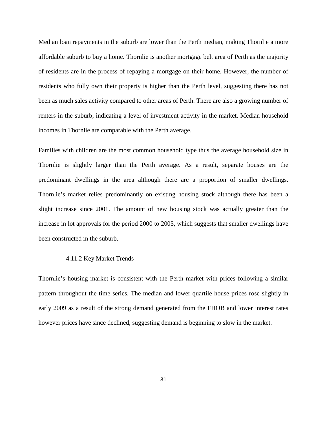Median loan repayments in the suburb are lower than the Perth median, making Thornlie a more affordable suburb to buy a home. Thornlie is another mortgage belt area of Perth as the majority of residents are in the process of repaying a mortgage on their home. However, the number of residents who fully own their property is higher than the Perth level, suggesting there has not been as much sales activity compared to other areas of Perth. There are also a growing number of renters in the suburb, indicating a level of investment activity in the market. Median household incomes in Thornlie are comparable with the Perth average.

Families with children are the most common household type thus the average household size in Thornlie is slightly larger than the Perth average. As a result, separate houses are the predominant dwellings in the area although there are a proportion of smaller dwellings. Thornlie's market relies predominantly on existing housing stock although there has been a slight increase since 2001. The amount of new housing stock was actually greater than the increase in lot approvals for the period 2000 to 2005, which suggests that smaller dwellings have been constructed in the suburb.

#### 4.11.2 Key Market Trends

Thornlie's housing market is consistent with the Perth market with prices following a similar pattern throughout the time series. The median and lower quartile house prices rose slightly in early 2009 as a result of the strong demand generated from the FHOB and lower interest rates however prices have since declined, suggesting demand is beginning to slow in the market.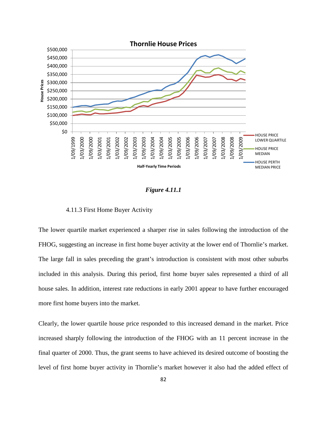

#### *Figure 4.11.1*

### 4.11.3 First Home Buyer Activity

The lower quartile market experienced a sharper rise in sales following the introduction of the FHOG, suggesting an increase in first home buyer activity at the lower end of Thornlie's market. The large fall in sales preceding the grant's introduction is consistent with most other suburbs included in this analysis. During this period, first home buyer sales represented a third of all house sales. In addition, interest rate reductions in early 2001 appear to have further encouraged more first home buyers into the market.

Clearly, the lower quartile house price responded to this increased demand in the market. Price increased sharply following the introduction of the FHOG with an 11 percent increase in the final quarter of 2000. Thus, the grant seems to have achieved its desired outcome of boosting the level of first home buyer activity in Thornlie's market however it also had the added effect of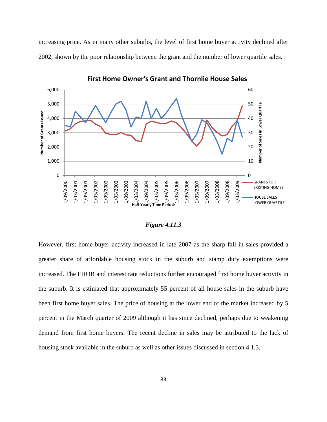increasing price. As in many other suburbs, the level of first home buyer activity declined after 2002, shown by the poor relationship between the grant and the number of lower quartile sales.



**First Home Owner's Grant and Thornlie House Sales**

### *Figure 4.11.3*

However, first home buyer activity increased in late 2007 as the sharp fall in sales provided a greater share of affordable housing stock in the suburb and stamp duty exemptions were increased. The FHOB and interest rate reductions further encouraged first home buyer activity in the suburb. It is estimated that approximately 55 percent of all house sales in the suburb have been first home buyer sales. The price of housing at the lower end of the market increased by 5 percent in the March quarter of 2009 although it has since declined, perhaps due to weakening demand from first home buyers. The recent decline in sales may be attributed to the lack of housing stock available in the suburb as well as other issues discussed in section 4.1.3.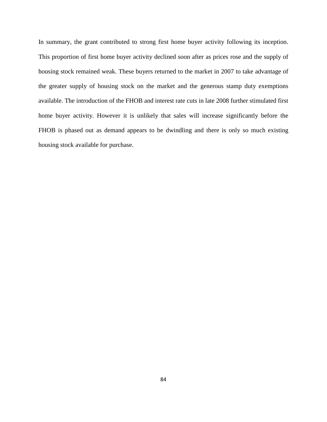In summary, the grant contributed to strong first home buyer activity following its inception. This proportion of first home buyer activity declined soon after as prices rose and the supply of housing stock remained weak. These buyers returned to the market in 2007 to take advantage of the greater supply of housing stock on the market and the generous stamp duty exemptions available. The introduction of the FHOB and interest rate cuts in late 2008 further stimulated first home buyer activity. However it is unlikely that sales will increase significantly before the FHOB is phased out as demand appears to be dwindling and there is only so much existing housing stock available for purchase.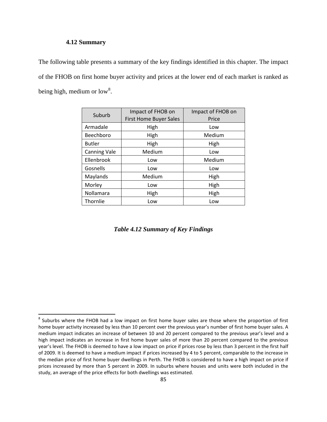### **4.12 Summary**

ı

The following table presents a summary of the key findings identified in this chapter. The impact of the FHOB on first home buyer activity and prices at the lower end of each market is ranked as being high, medium or low<sup>[8](#page-99-0)</sup>.

| Suburb              | Impact of FHOB on<br><b>First Home Buyer Sales</b> | Impact of FHOB on<br>Price |
|---------------------|----------------------------------------------------|----------------------------|
| Armadale            | High                                               | Low                        |
| Beechboro           | High                                               | Medium                     |
| <b>Butler</b>       | High                                               | High                       |
| <b>Canning Vale</b> | Medium                                             | Low                        |
| Ellenbrook          | Low                                                | Medium                     |
| Gosnells            | Low                                                | Low                        |
| Maylands            | Medium                                             | High                       |
| Morley              | Low                                                | High                       |
| Nollamara           | High                                               | High                       |
| Thornlie            | Low                                                | Low                        |

*Table 4.12 Summary of Key Findings* 

<span id="page-99-0"></span><sup>&</sup>lt;sup>8</sup> Suburbs where the FHOB had a low impact on first home buyer sales are those where the proportion of first home buyer activity increased by less than 10 percent over the previous year's number of first home buyer sales. A medium impact indicates an increase of between 10 and 20 percent compared to the previous year's level and a high impact indicates an increase in first home buyer sales of more than 20 percent compared to the previous year's level. The FHOB is deemed to have a low impact on price if prices rose by less than 3 percent in the first half of 2009. It is deemed to have a medium impact if prices increased by 4 to 5 percent, comparable to the increase in the median price of first home buyer dwellings in Perth. The FHOB is considered to have a high impact on price if prices increased by more than 5 percent in 2009. In suburbs where houses and units were both included in the study, an average of the price effects for both dwellings was estimated.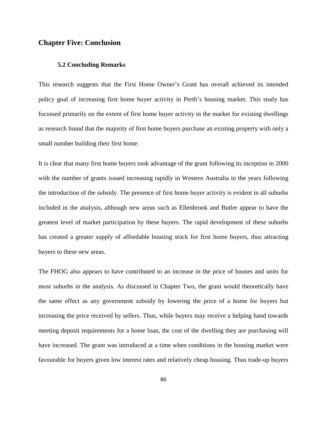## **Chapter Five: Conclusion**

### **5.2 Concluding Remarks**

This research suggests that the First Home Owner's Grant has overall achieved its intended policy goal of increasing first home buyer activity in Perth's housing market. This study has focussed primarily on the extent of first home buyer activity in the market for existing dwellings as research found that the majority of first home buyers purchase an existing property with only a small number building their first home.

It is clear that many first home buyers took advantage of the grant following its inception in 2000 with the number of grants issued increasing rapidly in Western Australia in the years following the introduction of the subsidy. The presence of first home buyer activity is evident in all suburbs included in the analysis, although new areas such as Ellenbrook and Butler appear to have the greatest level of market participation by these buyers. The rapid development of these suburbs has created a greater supply of affordable housing stock for first home buyers, thus attracting buyers to these new areas.

The FHOG also appears to have contributed to an increase in the price of houses and units for most suburbs in the analysis. As discussed in Chapter Two, the grant would theoretically have the same effect as any government subsidy by lowering the price of a home for buyers but increasing the price received by sellers. Thus, while buyers may receive a helping hand towards meeting deposit requirements for a home loan, the cost of the dwelling they are purchasing will have increased. The grant was introduced at a time when conditions in the housing market were favourable for buyers given low interest rates and relatively cheap housing. Thus trade-up buyers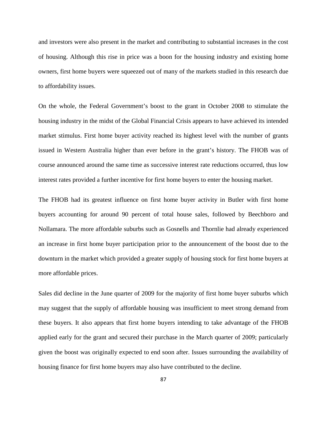and investors were also present in the market and contributing to substantial increases in the cost of housing. Although this rise in price was a boon for the housing industry and existing home owners, first home buyers were squeezed out of many of the markets studied in this research due to affordability issues.

On the whole, the Federal Government's boost to the grant in October 2008 to stimulate the housing industry in the midst of the Global Financial Crisis appears to have achieved its intended market stimulus. First home buyer activity reached its highest level with the number of grants issued in Western Australia higher than ever before in the grant's history. The FHOB was of course announced around the same time as successive interest rate reductions occurred, thus low interest rates provided a further incentive for first home buyers to enter the housing market.

The FHOB had its greatest influence on first home buyer activity in Butler with first home buyers accounting for around 90 percent of total house sales, followed by Beechboro and Nollamara. The more affordable suburbs such as Gosnells and Thornlie had already experienced an increase in first home buyer participation prior to the announcement of the boost due to the downturn in the market which provided a greater supply of housing stock for first home buyers at more affordable prices.

Sales did decline in the June quarter of 2009 for the majority of first home buyer suburbs which may suggest that the supply of affordable housing was insufficient to meet strong demand from these buyers. It also appears that first home buyers intending to take advantage of the FHOB applied early for the grant and secured their purchase in the March quarter of 2009; particularly given the boost was originally expected to end soon after. Issues surrounding the availability of housing finance for first home buyers may also have contributed to the decline.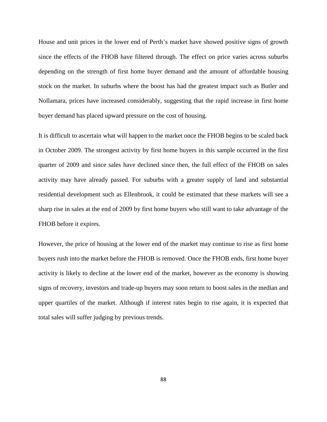House and unit prices in the lower end of Perth's market have showed positive signs of growth since the effects of the FHOB have filtered through. The effect on price varies across suburbs depending on the strength of first home buyer demand and the amount of affordable housing stock on the market. In suburbs where the boost has had the greatest impact such as Butler and Nollamara, prices have increased considerably, suggesting that the rapid increase in first home buyer demand has placed upward pressure on the cost of housing.

It is difficult to ascertain what will happen to the market once the FHOB begins to be scaled back in October 2009. The strongest activity by first home buyers in this sample occurred in the first quarter of 2009 and since sales have declined since then, the full effect of the FHOB on sales activity may have already passed. For suburbs with a greater supply of land and substantial residential development such as Ellenbrook, it could be estimated that these markets will see a sharp rise in sales at the end of 2009 by first home buyers who still want to take advantage of the FHOB before it expires.

However, the price of housing at the lower end of the market may continue to rise as first home buyers rush into the market before the FHOB is removed. Once the FHOB ends, first home buyer activity is likely to decline at the lower end of the market, however as the economy is showing signs of recovery, investors and trade-up buyers may soon return to boost sales in the median and upper quartiles of the market. Although if interest rates begin to rise again, it is expected that total sales will suffer judging by previous trends.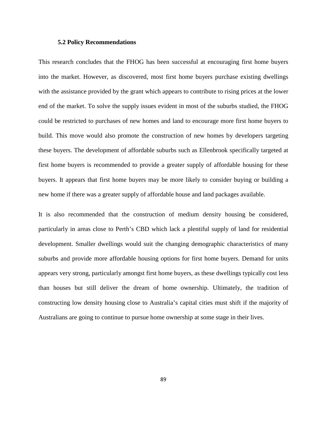#### **5.2 Policy Recommendations**

This research concludes that the FHOG has been successful at encouraging first home buyers into the market. However, as discovered, most first home buyers purchase existing dwellings with the assistance provided by the grant which appears to contribute to rising prices at the lower end of the market. To solve the supply issues evident in most of the suburbs studied, the FHOG could be restricted to purchases of new homes and land to encourage more first home buyers to build. This move would also promote the construction of new homes by developers targeting these buyers. The development of affordable suburbs such as Ellenbrook specifically targeted at first home buyers is recommended to provide a greater supply of affordable housing for these buyers. It appears that first home buyers may be more likely to consider buying or building a new home if there was a greater supply of affordable house and land packages available.

It is also recommended that the construction of medium density housing be considered, particularly in areas close to Perth's CBD which lack a plentiful supply of land for residential development. Smaller dwellings would suit the changing demographic characteristics of many suburbs and provide more affordable housing options for first home buyers. Demand for units appears very strong, particularly amongst first home buyers, as these dwellings typically cost less than houses but still deliver the dream of home ownership. Ultimately, the tradition of constructing low density housing close to Australia's capital cities must shift if the majority of Australians are going to continue to pursue home ownership at some stage in their lives.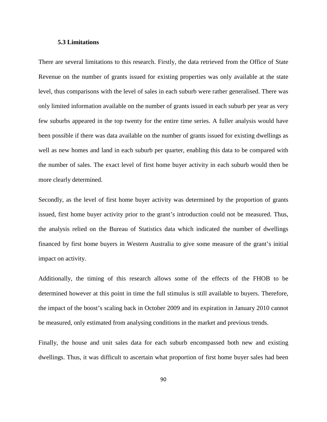#### **5.3 Limitations**

There are several limitations to this research. Firstly, the data retrieved from the Office of State Revenue on the number of grants issued for existing properties was only available at the state level, thus comparisons with the level of sales in each suburb were rather generalised. There was only limited information available on the number of grants issued in each suburb per year as very few suburbs appeared in the top twenty for the entire time series. A fuller analysis would have been possible if there was data available on the number of grants issued for existing dwellings as well as new homes and land in each suburb per quarter, enabling this data to be compared with the number of sales. The exact level of first home buyer activity in each suburb would then be more clearly determined.

Secondly, as the level of first home buyer activity was determined by the proportion of grants issued, first home buyer activity prior to the grant's introduction could not be measured. Thus, the analysis relied on the Bureau of Statistics data which indicated the number of dwellings financed by first home buyers in Western Australia to give some measure of the grant's initial impact on activity.

Additionally, the timing of this research allows some of the effects of the FHOB to be determined however at this point in time the full stimulus is still available to buyers. Therefore, the impact of the boost's scaling back in October 2009 and its expiration in January 2010 cannot be measured, only estimated from analysing conditions in the market and previous trends.

Finally, the house and unit sales data for each suburb encompassed both new and existing dwellings. Thus, it was difficult to ascertain what proportion of first home buyer sales had been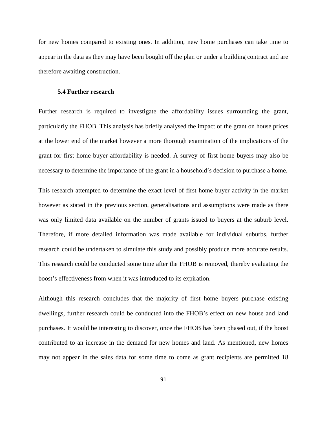for new homes compared to existing ones. In addition, new home purchases can take time to appear in the data as they may have been bought off the plan or under a building contract and are therefore awaiting construction.

#### **5.4 Further research**

Further research is required to investigate the affordability issues surrounding the grant, particularly the FHOB. This analysis has briefly analysed the impact of the grant on house prices at the lower end of the market however a more thorough examination of the implications of the grant for first home buyer affordability is needed. A survey of first home buyers may also be necessary to determine the importance of the grant in a household's decision to purchase a home.

This research attempted to determine the exact level of first home buyer activity in the market however as stated in the previous section, generalisations and assumptions were made as there was only limited data available on the number of grants issued to buyers at the suburb level. Therefore, if more detailed information was made available for individual suburbs, further research could be undertaken to simulate this study and possibly produce more accurate results. This research could be conducted some time after the FHOB is removed, thereby evaluating the boost's effectiveness from when it was introduced to its expiration.

Although this research concludes that the majority of first home buyers purchase existing dwellings, further research could be conducted into the FHOB's effect on new house and land purchases. It would be interesting to discover, once the FHOB has been phased out, if the boost contributed to an increase in the demand for new homes and land. As mentioned, new homes may not appear in the sales data for some time to come as grant recipients are permitted 18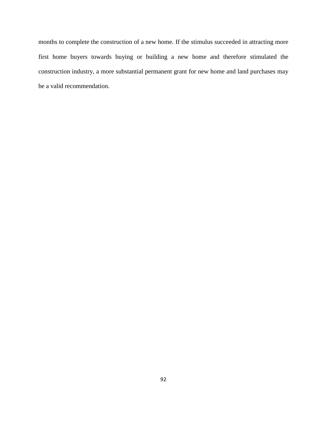months to complete the construction of a new home. If the stimulus succeeded in attracting more first home buyers towards buying or building a new home and therefore stimulated the construction industry, a more substantial permanent grant for new home and land purchases may be a valid recommendation.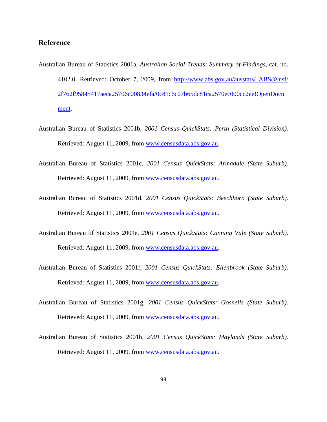# **Reference**

- Australian Bureau of Statistics 2001a, *Australian Social Trends: Summary of Findings,* cat. no. 4102.0. Retrieved: October 7, 2009, from [http://www.abs.gov.au/ausstats/ ABS@.nsf/](http://www.abs.gov.au/ausstats/%20ABS@.nsf/%202f762f95845417aeca25706c00834efa/0c81c6c07b65dc81ca2570ec000cc2ee!OpenDocument)  [2f762f95845417aeca25706c00834efa/0c81c6c07b65dc81ca2570ec000cc2ee!OpenDocu](http://www.abs.gov.au/ausstats/%20ABS@.nsf/%202f762f95845417aeca25706c00834efa/0c81c6c07b65dc81ca2570ec000cc2ee!OpenDocument) [ment.](http://www.abs.gov.au/ausstats/%20ABS@.nsf/%202f762f95845417aeca25706c00834efa/0c81c6c07b65dc81ca2570ec000cc2ee!OpenDocument)
- Australian Bureau of Statistics 2001b, *2001 Census QuickStats: Perth (Statistical Division).*  Retrieved: August 11, 2009, from [www.censusdata.abs.gov.au.](http://www.censusdata.abs.gov.au/)
- Australian Bureau of Statistics 2001c, *2001 Census QuickStats: Armadale (State Suburb).*  Retrieved: August 11, 2009, from [www.censusdata.abs.gov.au.](http://www.censusdata.abs.gov.au/)
- Australian Bureau of Statistics 2001d, *2001 Census QuickStats: Beechboro (State Suburb).*  Retrieved: August 11, 2009, from [www.censusdata.abs.gov.au.](http://www.censusdata.abs.gov.au/)
- Australian Bureau of Statistics 2001e, *2001 Census QuickStats: Canning Vale (State Suburb).*  Retrieved: August 11, 2009, from [www.censusdata.abs.gov.au.](http://www.censusdata.abs.gov.au/)
- Australian Bureau of Statistics 2001f, *2001 Census QuickStats: Ellenbrook (State Suburb).*  Retrieved: August 11, 2009, from [www.censusdata.abs.gov.au.](http://www.censusdata.abs.gov.au/)
- Australian Bureau of Statistics 2001g, *2001 Census QuickStats: Gosnells (State Suburb).*  Retrieved: August 11, 2009, from [www.censusdata.abs.gov.au.](http://www.censusdata.abs.gov.au/)
- Australian Bureau of Statistics 2001h, *2001 Census QuickStats: Maylands (State Suburb).*  Retrieved: August 11, 2009, from [www.censusdata.abs.gov.au.](http://www.censusdata.abs.gov.au/)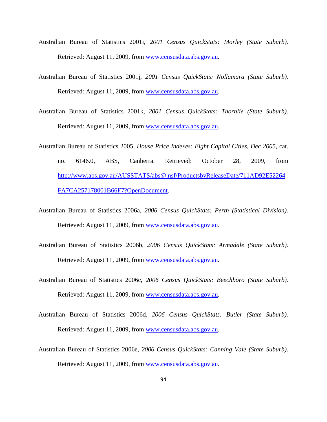- Australian Bureau of Statistics 2001i, *2001 Census QuickStats: Morley (State Suburb).*  Retrieved: August 11, 2009, from [www.censusdata.abs.gov.au.](http://www.censusdata.abs.gov.au/)
- Australian Bureau of Statistics 2001j, *2001 Census QuickStats: Nollamara (State Suburb).*  Retrieved: August 11, 2009, from [www.censusdata.abs.gov.au.](http://www.censusdata.abs.gov.au/)
- Australian Bureau of Statistics 2001k, *2001 Census QuickStats: Thornlie (State Suburb).*  Retrieved: August 11, 2009, from [www.censusdata.abs.gov.au.](http://www.censusdata.abs.gov.au/)
- Australian Bureau of Statistics 2005, *House Price Indexes: Eight Capital Cities, Dec 2005,* cat. no. 6146.0, ABS, Canberra. Retrieved: October 28, 2009, from [http://www.abs.gov.au/AUSSTATS/abs@.nsf/ProductsbyReleaseDate/711AD92E52264](http://www.abs.gov.au/AUSSTATS/abs@.nsf/ProductsbyReleaseDate/711AD92E52264FA7CA257178001B66F7?OpenDocument) [FA7CA257178001B66F7?OpenDocument.](http://www.abs.gov.au/AUSSTATS/abs@.nsf/ProductsbyReleaseDate/711AD92E52264FA7CA257178001B66F7?OpenDocument)
- Australian Bureau of Statistics 2006a, *2006 Census QuickStats: Perth (Statistical Division).*  Retrieved: August 11, 2009, from [www.censusdata.abs.gov.au.](http://www.censusdata.abs.gov.au/)
- Australian Bureau of Statistics 2006b, *2006 Census QuickStats: Armadale (State Suburb).*  Retrieved: August 11, 2009, from <u>www.censusdata.abs.gov.au</u>.
- Australian Bureau of Statistics 2006c, *2006 Census QuickStats: Beechboro (State Suburb).*  Retrieved: August 11, 2009, from [www.censusdata.abs.gov.au.](http://www.censusdata.abs.gov.au/)
- Australian Bureau of Statistics 2006d, *2006 Census QuickStats: Butler (State Suburb).*  Retrieved: August 11, 2009, from [www.censusdata.abs.gov.au.](http://www.censusdata.abs.gov.au/)
- Australian Bureau of Statistics 2006e, *2006 Census QuickStats: Canning Vale (State Suburb).*  Retrieved: August 11, 2009, from [www.censusdata.abs.gov.au.](http://www.censusdata.abs.gov.au/)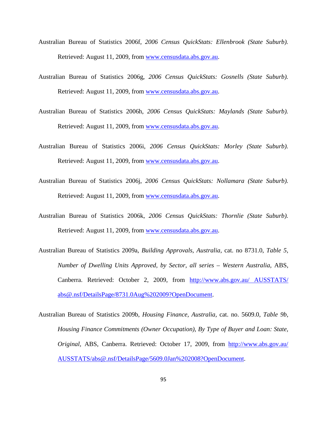- Australian Bureau of Statistics 2006f, *2006 Census QuickStats: Ellenbrook (State Suburb).*  Retrieved: August 11, 2009, from [www.censusdata.abs.gov.au.](http://www.censusdata.abs.gov.au/)
- Australian Bureau of Statistics 2006g, *2006 Census QuickStats: Gosnells (State Suburb).*  Retrieved: August 11, 2009, from [www.censusdata.abs.gov.au.](http://www.censusdata.abs.gov.au/)
- Australian Bureau of Statistics 2006h, *2006 Census QuickStats: Maylands (State Suburb).*  Retrieved: August 11, 2009, from [www.censusdata.abs.gov.au.](http://www.censusdata.abs.gov.au/)
- Australian Bureau of Statistics 2006i, *2006 Census QuickStats: Morley (State Suburb).*  Retrieved: August 11, 2009, from [www.censusdata.abs.gov.au.](http://www.censusdata.abs.gov.au/)
- Australian Bureau of Statistics 2006j, *2006 Census QuickStats: Nollamara (State Suburb).*  Retrieved: August 11, 2009, from [www.censusdata.abs.gov.au.](http://www.censusdata.abs.gov.au/)
- Australian Bureau of Statistics 2006k, *2006 Census QuickStats: Thornlie (State Suburb).*  Retrieved: August 11, 2009, from [www.censusdata.abs.gov.au.](http://www.censusdata.abs.gov.au/)
- Australian Bureau of Statistics 2009a, *Building Approvals, Australia,* cat. no 8731.0, *Table 5, Number of Dwelling Units Approved, by Sector, all series – Western Australia,* ABS, Canberra. Retrieved: October 2, 2009, from [http://www.abs.gov.au/ AUSSTATS/](http://www.abs.gov.au/%20AUSSTATS/%20abs@.nsf/DetailsPage/8731.0Aug%202009?OpenDocument)  [abs@.nsf/DetailsPage/8731.0Aug%202009?OpenDocument.](http://www.abs.gov.au/%20AUSSTATS/%20abs@.nsf/DetailsPage/8731.0Aug%202009?OpenDocument)
- Australian Bureau of Statistics 2009b, *Housing Finance, Australia,* cat. no. 5609.0, *Table 9b, Housing Finance Commitments (Owner Occupation), By Type of Buyer and Loan: State, Original,* ABS, Canberra. Retrieved: October 17, 2009, from [http://www.abs.gov.au/](http://www.abs.gov.au/%20AUSSTATS/abs@.nsf/DetailsPage/5609.0Jan%202008?OpenDocument)  [AUSSTATS/abs@.nsf/DetailsPage/5609.0Jan%202008?OpenDocument.](http://www.abs.gov.au/%20AUSSTATS/abs@.nsf/DetailsPage/5609.0Jan%202008?OpenDocument)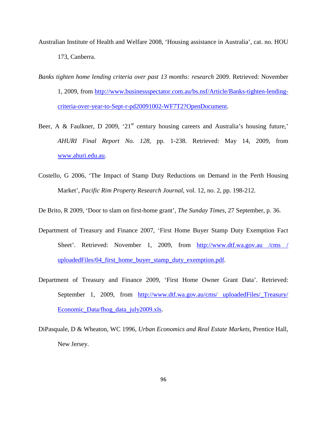- Australian Institute of Health and Welfare 2008, 'Housing assistance in Australia', cat. no. HOU 173, Canberra.
- *Banks tighten home lending criteria over past 13 months: research* 2009. Retrieved: November 1, 2009, from [http://www.businessspectator.com.au/bs.nsf/Article/Banks-tighten-lending](http://www.businessspectator.com.au/bs.nsf/Article/Banks-tighten-lending-criteria-over-year-to-Sept-r-pd20091002-WF7T2?OpenDocument)[criteria-over-year-to-Sept-r-pd20091002-WF7T2?OpenDocument.](http://www.businessspectator.com.au/bs.nsf/Article/Banks-tighten-lending-criteria-over-year-to-Sept-r-pd20091002-WF7T2?OpenDocument)
- Beer, A & Faulkner, D 2009, '21<sup>st</sup> century housing careers and Australia's housing future, *AHURI Final Report No. 128,* pp. 1-238. Retrieved: May 14, 2009, from [www.ahuri.edu.au.](http://www.ahuri.edu.au/)
- Costello, G 2006, 'The Impact of Stamp Duty Reductions on Demand in the Perth Housing Market', *Pacific Rim Property Research Journal,* vol. 12, no. 2, pp. 198-212.

De Brito, R 2009, 'Door to slam on first-home grant', *The Sunday Times,* 27 September, p. 36.

- Department of Treasury and Finance 2007, 'First Home Buyer Stamp Duty Exemption Fact Sheet'. Retrieved: November 1, 2009, from http://www.dtf.wa.gov.au /cms / uploadedFiles/04\_first\_home\_buyer\_stamp\_duty\_exemption.pdf.
- Department of Treasury and Finance 2009, 'First Home Owner Grant Data'. Retrieved: September 1, 2009, from http://www.dtf.wa.gov.au/cms/ uploadedFiles/ Treasury/ [Economic\\_Data/fhog\\_data\\_july2009.xls.](http://www.dtf.wa.gov.au/cms/%20uploadedFiles/_Treasury/%20Economic_Data/fhog_data_july2009.xls)
- DiPasquale, D & Wheaton, WC 1996, *Urban Economics and Real Estate Markets,* Prentice Hall, New Jersey.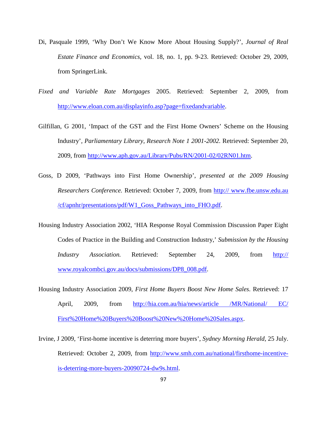- Di, Pasquale 1999, 'Why Don't We Know More About Housing Supply?', *Journal of Real Estate Finance and Economics,* vol. 18, no. 1, pp. 9-23. Retrieved: October 29, 2009, from SpringerLink.
- *Fixed and Variable Rate Mortgages* 2005. Retrieved: September 2, 2009, from [http://www.eloan.com.au/displayinfo.asp?page=fixedandvariable.](http://www.eloan.com.au/displayinfo.asp?page=fixedandvariable)
- Gilfillan, G 2001, 'Impact of the GST and the First Home Owners' Scheme on the Housing Industry'*, Parliamentary Library, Research Note 1 2001-2002.* Retrieved: September 20, 2009, from [http://www.aph.gov.au/Library/Pubs/RN/2001-02/02RN01.htm.](http://www.aph.gov.au/Library/Pubs/RN/2001-02/02RN01.htm)
- Goss, D 2009, 'Pathways into First Home Ownership', *presented at the 2009 Housing Researchers Conference.* Retrieved: October 7, 2009, from http:// www.fbe.unsw.edu.au /cf/apnhr/presentations/pdf/W1\_Goss\_Pathways\_into\_FHO.pdf .
- Housing Industry Association 2002, 'HIA Response Royal Commission Discussion Paper Eight Codes of Practice in the Building and Construction Industry,' *Submission by the Housing Industry Association.* Retrieved: September 24, 2009, from http:// www.royalcombci.gov.au/docs/submissions/DP8\_008.pdf.
- Housing Industry Association 2009, *First Home Buyers Boost New Home Sales*. Retrieved: 17 April, 2009, from [http://hia.com.au/hia/news/article /MR/National/ EC/](http://hia.com.au/hia/news/article%20/MR/National/%20EC/%20First%20Home%20Buyers%20Boost%20New%20Home%20Sales.aspx)  [First%20Home%20Buyers%20Boost%20New%20Home%20Sales.aspx.](http://hia.com.au/hia/news/article%20/MR/National/%20EC/%20First%20Home%20Buyers%20Boost%20New%20Home%20Sales.aspx)
- Irvine, J 2009, 'First-home incentive is deterring more buyers', *Sydney Morning Herald,* 25 July. Retrieved: October 2, 2009, from [http://www.smh.com.au/national/firsthome-incentive](http://www.smh.com.au/national/firsthome-incentive-is-deterring-more-buyers-20090724-dw9s.html)[is-deterring-more-buyers-20090724-dw9s.html.](http://www.smh.com.au/national/firsthome-incentive-is-deterring-more-buyers-20090724-dw9s.html)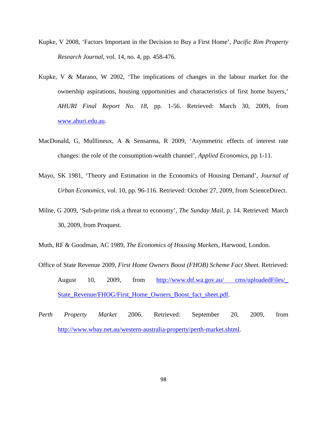- Kupke, V 2008, 'Factors Important in the Decision to Buy a First Home', *Pacific Rim Property Research Journal,* vol. 14, no. 4, pp. 458-476.
- Kupke, V & Marano, W 2002, 'The implications of changes in the labour market for the ownership aspirations, housing opportunities and characteristics of first home buyers,' *AHURI Final Report No. 18,* pp. 1-56. Retrieved: March 30, 2009, from [www.ahuri.edu.au.](http://www.ahuri.edu.au/)
- MacDonald, G, Mulllineux, A & Sensarma, R 2009, 'Asymmetric effects of interest rate changes: the role of the consumption-wealth channel', *Applied Economics,* pp 1-11.
- Mayo, SK 1981, 'Theory and Estimation in the Economics of Housing Demand', *Journal of Urban Economics,* vol. 10, pp. 96-116. Retrieved: October 27, 2009, from ScienceDirect.
- Milne, G 2009, 'Sub-prime risk a threat to economy', *The Sunday Mail,* p. 14. Retrieved: March 30, 2009, from Proquest.
- Muth, RF & Goodman, AC 1989, *The Economics of Housing Markets,* Harwood, London.
- Office of State Revenue 2009, *First Home Owners Boost (FHOB) Scheme Fact Sheet.* Retrieved: August 10, 2009, from [http://www.dtf.wa.gov.au/ cms/uploadedFiles/\\_](http://www.dtf.wa.gov.au/%20cms/uploadedFiles/_%20State_Revenue/FHOG/First_Home_Owners_Boost_fact_sheet.pdf)  [State\\_Revenue/FHOG/First\\_Home\\_Owners\\_Boost\\_fact\\_sheet.pdf.](http://www.dtf.wa.gov.au/%20cms/uploadedFiles/_%20State_Revenue/FHOG/First_Home_Owners_Boost_fact_sheet.pdf)
- *Perth Property Market* 2006. Retrieved: September 20, 2009, from [http://www.wbay.net.au/western-australia-property/perth-market.shtml.](http://www.wbay.net.au/western-australia-property/perth-market.shtml)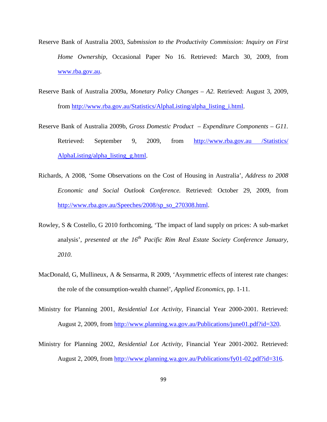- Reserve Bank of Australia 2003, *Submission to the Productivity Commission: Inquiry on First Home Ownership,* Occasional Paper No 16. Retrieved: March 30, 2009, from [www.rba.gov.au.](http://www.rba.gov.au/)
- Reserve Bank of Australia 2009a, *Monetary Policy Changes A2.* Retrieved: August 3, 2009, from [http://www.rba.gov.au/Statistics/AlphaListing/alpha\\_listing\\_i.html.](http://www.rba.gov.au/Statistics/AlphaListing/alpha_listing_i.html)
- Reserve Bank of Australia 2009b, *Gross Domestic Product Expenditure Components G11.*  Retrieved: September 9, 2009, from http://www.rba.gov.au /Statistics/ AlphaListing/alpha\_listing\_g.html.
- Richards, A 2008, 'Some Observations on the Cost of Housing in Australia', *Address to 2008 Economic and Social Outlook Conference.* Retrieved: October 29, 2009, from [http://www.rba.gov.au/Speeches/2008/sp\\_so\\_270308.html.](http://www.rba.gov.au/Speeches/2008/sp_so_270308.html)
- Rowley, S & Costello, G 2010 forthcoming, 'The impact of land supply on prices: A sub-market analysis', *presented at the 16<sup>th</sup> Pacific Rim Real Estate Society Conference January*, *2010.*
- MacDonald, G, Mullineux, A & Sensarma, R 2009, 'Asymmetric effects of interest rate changes: the role of the consumption-wealth channel', *Applied Economics,* pp. 1-11.
- Ministry for Planning 2001, *Residential Lot Activity,* Financial Year 2000-2001. Retrieved: August 2, 2009, from [http://www.planning.wa.gov.au/Publications/june01.pdf?id=320.](http://www.planning.wa.gov.au/Publications/june01.pdf?id=320)
- Ministry for Planning 2002, *Residential Lot Activity,* Financial Year 2001-2002. Retrieved: August 2, 2009, from [http://www.planning.wa.gov.au/Publications/fy01-02.pdf?id=316.](http://www.planning.wa.gov.au/Publications/fy01-02.pdf?id=316)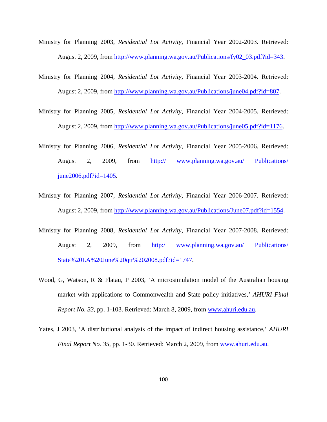- Ministry for Planning 2003, *Residential Lot Activity,* Financial Year 2002-2003. Retrieved: August 2, 2009, from [http://www.planning.wa.gov.au/Publications/fy02\\_03.pdf?id=343.](http://www.planning.wa.gov.au/Publications/fy02_03.pdf?id=343)
- Ministry for Planning 2004, *Residential Lot Activity,* Financial Year 2003-2004. Retrieved: August 2, 2009, from [http://www.planning.wa.gov.au/Publications/june04.pdf?id=807.](http://www.planning.wa.gov.au/Publications/june04.pdf?id=807)
- Ministry for Planning 2005, *Residential Lot Activity,* Financial Year 2004-2005. Retrieved: August 2, 2009, from [http://www.planning.wa.gov.au/Publications/june05.pdf?id=1176.](http://www.planning.wa.gov.au/Publications/june05.pdf?id=1176)
- Ministry for Planning 2006, *Residential Lot Activity,* Financial Year 2005-2006. Retrieved: August 2, 2009, from http:// www.planning.wa.gov.au/ Publications/ june2006.pdf?id=1405 .
- Ministry for Planning 2007, *Residential Lot Activity,* Financial Year 2006-2007. Retrieved: August 2, 2009, from [http://www.planning.wa.gov.au/Publications/June07.pdf?id=1554.](http://www.planning.wa.gov.au/Publications/June07.pdf?id=1554)
- Ministry for Planning 2008, *Residential Lot Activity,* Financial Year 2007-2008. Retrieved: August 2, 2009, from [http:/ www.planning.wa.gov.au/ Publications/](http://http/%20www.planning.wa.gov.au/%20Publications/%20State%20LA%20June%20qtr%202008.pdf?id=1747)  [State%20LA%20June%20qtr%202008.pdf?id=1747.](http://http/%20www.planning.wa.gov.au/%20Publications/%20State%20LA%20June%20qtr%202008.pdf?id=1747)
- Wood, G, Watson, R & Flatau, P 2003, 'A microsimulation model of the Australian housing market with applications to Commonwealth and State policy initiatives,' *AHURI Final Report No. 33,* pp. 1-103. Retrieved: March 8, 2009, from [www.ahuri.edu.au.](http://www.ahuri.edu.au/)
- Yates, J 2003, 'A distributional analysis of the impact of indirect housing assistance,' *AHURI Final Report No. 35,* pp. 1-30. Retrieved: March 2, 2009, from [www.ahuri.edu.au.](http://www.ahuri.edu.au/)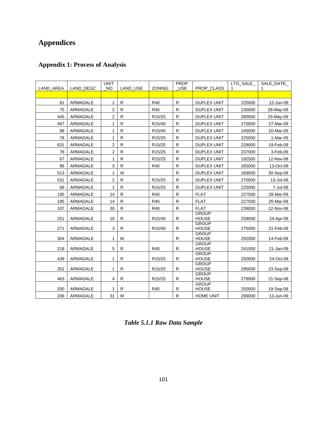## **Appendices**

## **Appendix 1: Process of Analysis**

| LAND AREA | LAND DESC       | <b>UNIT</b><br><b>NO</b> | <b>LAND USE</b> | <b>ZONING</b>       | PROP<br><b>USE</b> | PROP_CLASS                   | LTO SALE<br>1 | SALE DATE<br>1 |
|-----------|-----------------|--------------------------|-----------------|---------------------|--------------------|------------------------------|---------------|----------------|
|           |                 |                          |                 |                     |                    |                              |               |                |
| 81        | ARMADALE        | 1                        | $\mathsf{R}$    | R40                 | $\mathsf{R}$       | <b>DUPLEX UNIT</b>           | 225000        | 12-Jun-09      |
| 75        | ARMADALE        | 2                        | $\mathsf{R}$    | R40                 | $\mathsf{R}$       | <b>DUPLEX UNIT</b>           | 230000        | 28-May-09      |
| 445       | ARMADALE        | 2                        | ${\sf R}$       | R <sub>15</sub> /25 | $\mathsf{R}$       | <b>DUPLEX UNIT</b>           | 280000        | 25-May-09      |
| 497       | <b>ARMADALE</b> | 1                        | ${\sf R}$       | R15/40              | $\mathsf{R}$       | <b>DUPLEX UNIT</b>           | 270000        | 27-Mar-09      |
| 88        | <b>ARMADALE</b> | 1                        | $\mathsf{R}$    | R <sub>15</sub> /40 | $\mathsf{R}$       | <b>DUPLEX UNIT</b>           | 245000        | 20-Mar-09      |
| 78        | ARMADALE        | 1                        | $\mathsf{R}$    | R <sub>15</sub> /25 | $\mathsf{R}$       | <b>DUPLEX UNIT</b>           | 225000        | 1-Mar-09       |
| 631       | <b>ARMADALE</b> | 2                        | ${\sf R}$       | R <sub>15</sub> /25 | $\mathsf{R}$       | <b>DUPLEX UNIT</b>           | 229000        | 19-Feb-09      |
| 78        | ARMADALE        | $\overline{2}$           | $\mathsf{R}$    | R <sub>15</sub> /25 | $\mathsf{R}$       | DUPLEX UNIT                  | 237000        | 3-Feb-09       |
| 67        | ARMADALE        | 1                        | $\mathsf{R}$    | R15/25              | $\mathsf{R}$       | <b>DUPLEX UNIT</b>           | 192500        | 12-Nov-08      |
| 88        | ARMADALE        | 3                        | ${\sf R}$       | R40                 | ${\sf R}$          | <b>DUPLEX UNIT</b>           | 265000        | 13-Oct-08      |
| 513       | ARMADALE        | 1                        | M               |                     | $\mathsf{R}$       | <b>DUPLEX UNIT</b>           | 269000        | 30-Sep-08      |
| 531       | <b>ARMADALE</b> | 2                        | ${\sf R}$       | R <sub>15</sub> /25 | $\mathsf{R}$       | <b>DUPLEX UNIT</b>           | 270000        | 13-Jul-08      |
| 68        | ARMADALE        | 1                        | $\mathsf{R}$    | R <sub>15</sub> /25 | $\mathsf{R}$       | <b>DUPLEX UNIT</b>           | 225000        | 7-Jul-08       |
| 195       | <b>ARMADALE</b> | 14                       | R               | R40                 | $\mathsf{R}$       | <b>FLAT</b>                  | 227500        | 28-Mar-09      |
| 195       | ARMADALE        | 14                       | $\mathsf{R}$    | R40                 | $\mathsf{R}$       | <b>FLAT</b>                  | 227500        | 26-Mar-09      |
| 107       | ARMADALE        | 30                       | ${\sf R}$       | R40                 | $\mathsf{R}$       | <b>FLAT</b>                  | 239000        | 12-Nov-08      |
| 251       | ARMADALE        | 16                       | R               | R <sub>15</sub> /40 | R                  | <b>GROUP</b><br><b>HOUSE</b> | 259000        | 24-Apr-09      |
| 271       | ARMADALE        | 3                        | R               | R <sub>15</sub> /40 | R                  | <b>GROUP</b><br><b>HOUSE</b> | 275000        | 21-Feb-09      |
|           |                 |                          |                 |                     |                    | <b>GROUP</b>                 |               |                |
| 304       | ARMADALE        | 1                        | M               |                     | R                  | <b>HOUSE</b>                 | 292000        | 14-Feb-09      |
| 218       | ARMADALE        | 5                        | R               | R40                 | R                  | <b>GROUP</b><br><b>HOUSE</b> | 241000        | 21-Jan-09      |
| 439       | ARMADALE        | 1                        | R               | R <sub>15</sub> /25 | R                  | <b>GROUP</b><br><b>HOUSE</b> | 250000        | 24-Oct-08      |
| 352       | ARMADALE        | 1                        | R               | R <sub>15</sub> /25 | $\mathsf{R}$       | <b>GROUP</b><br><b>HOUSE</b> | 295000        | 23-Sep-08      |
| 463       | ARMADALE        | 4                        | $\mathsf{R}$    | R <sub>15</sub> /25 | $\mathsf{R}$       | <b>GROUP</b><br><b>HOUSE</b> | 278000        | 21-Sep-08      |
| 330       | ARMADALE        | 1                        | R               | R40                 | R                  | <b>GROUP</b><br><b>HOUSE</b> | 250000        | 19-Sep-08      |
| 206       | ARMADALE        | 31                       | M               |                     | $\mathsf{R}$       | <b>HOME UNIT</b>             | 299000        | 13-Jun-09      |

*Table 5.1.1 Raw Data Sample*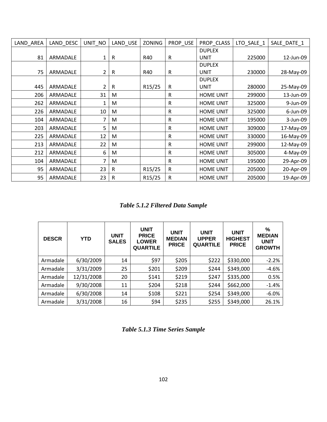| LAND_AREA | LAND_DESC | $UNIT_NO$ | LAND_USE | ZONING              | PROP_USE     | PROP CLASS       | LTO_SALE_1 | SALE_DATE_1 |
|-----------|-----------|-----------|----------|---------------------|--------------|------------------|------------|-------------|
|           |           |           |          |                     |              | <b>DUPLEX</b>    |            |             |
| 81        | ARMADALE  | 1         | R        | R40                 | $\mathsf R$  | <b>UNIT</b>      | 225000     | 12-Jun-09   |
|           |           |           |          |                     |              | <b>DUPLEX</b>    |            |             |
| 75        | ARMADALE  | 2         | R        | R40                 | R            | UNIT             | 230000     | 28-May-09   |
|           |           |           |          |                     |              | <b>DUPLEX</b>    |            |             |
| 445       | ARMADALE  | 2         | R        | R15/25              | R            | <b>UNIT</b>      | 280000     | 25-May-09   |
| 206       | ARMADALE  | 31        | М        |                     | $\mathsf R$  | <b>HOME UNIT</b> | 299000     | 13-Jun-09   |
| 262       | ARMADALE  | 1         | M        |                     | R            | <b>HOME UNIT</b> | 325000     | 9-Jun-09    |
| 226       | ARMADALE  | 10        | M        |                     | $\mathsf{R}$ | <b>HOME UNIT</b> | 325000     | 6-Jun-09    |
| 104       | ARMADALE  | 7         | M        |                     | R            | <b>HOME UNIT</b> | 195000     | 3-Jun-09    |
| 203       | ARMADALE  | 5         | M        |                     | R            | <b>HOME UNIT</b> | 309000     | 17-May-09   |
| 225       | ARMADALE  | 12        | M        |                     | R            | <b>HOME UNIT</b> | 330000     | 16-May-09   |
| 213       | ARMADALE  | 22        | M        |                     | R            | <b>HOME UNIT</b> | 299000     | 12-May-09   |
| 212       | ARMADALE  | 6         | M        |                     | $\mathsf R$  | <b>HOME UNIT</b> | 305000     | 4-May-09    |
| 104       | ARMADALE  | 7         | M        |                     | R            | <b>HOME UNIT</b> | 195000     | 29-Apr-09   |
| 95        | ARMADALE  | 23        | R        | R15/25              | R            | <b>HOME UNIT</b> | 205000     | 20-Apr-09   |
| 95        | ARMADALE  | 23        | R        | R <sub>15</sub> /25 | R            | <b>HOME UNIT</b> | 205000     | 19-Apr-09   |

*Table 5.1.2 Filtered Data Sample*

| <b>DESCR</b> | <b>YTD</b> | <b>UNIT</b><br><b>SALES</b> | <b>UNIT</b><br><b>PRICE</b><br><b>LOWER</b><br><b>QUARTILE</b> | <b>UNIT</b><br><b>MEDIAN</b><br><b>PRICE</b> | <b>UNIT</b><br><b>UPPER</b><br><b>QUARTILE</b> | <b>UNIT</b><br><b>HIGHEST</b><br><b>PRICE</b> | %<br><b>MEDIAN</b><br><b>UNIT</b><br><b>GROWTH</b> |
|--------------|------------|-----------------------------|----------------------------------------------------------------|----------------------------------------------|------------------------------------------------|-----------------------------------------------|----------------------------------------------------|
| Armadale     | 6/30/2009  | 14                          | \$97                                                           | \$205                                        | \$222                                          | \$330,000                                     | $-2.2%$                                            |
| Armadale     | 3/31/2009  | 25                          | \$201                                                          | \$209                                        | \$244                                          | \$349,000                                     | $-4.6%$                                            |
| Armadale     | 12/31/2008 | 20                          | \$141                                                          | \$219                                        | \$247                                          | \$335,000                                     | 0.5%                                               |
| Armadale     | 9/30/2008  | 11                          | \$204                                                          | \$218                                        | \$244                                          | \$662,000                                     | $-1.4%$                                            |
| Armadale     | 6/30/2008  | 14                          | \$108                                                          | \$221                                        | \$254                                          | \$349,000                                     | $-6.0%$                                            |
| Armadale     | 3/31/2008  | 16                          | \$94                                                           | \$235                                        | \$255                                          | \$349,000                                     | 26.1%                                              |

*Table 5.1.3 Time Series Sample*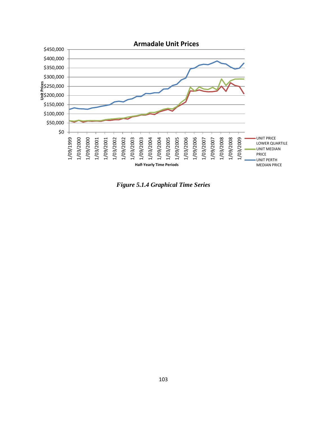

*Figure 5.1.4 Graphical Time Series*